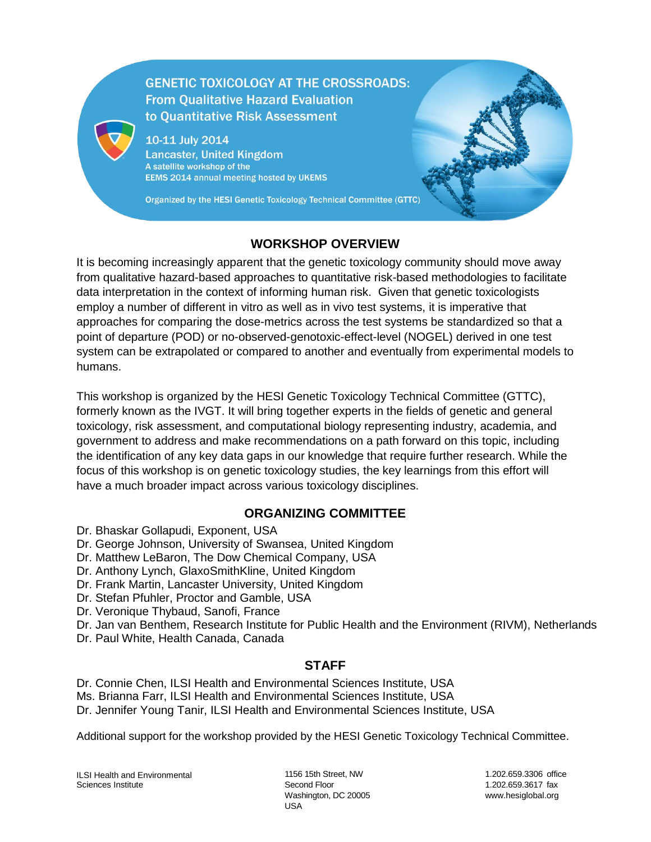**GENETIC TOXICOLOGY AT THE CROSSROADS: From Qualitative Hazard Evaluation** to Quantitative Risk Assessment

#### 10-11 July 2014

**Lancaster, United Kingdom** A satellite workshop of the **EEMS 2014 annual meeting hosted by UKEMS** 

Organized by the HESI Genetic Toxicology Technical Committee (GTTC)

# **WORKSHOP OVERVIEW**

It is becoming increasingly apparent that the genetic toxicology community should move away from qualitative hazard-based approaches to quantitative risk-based methodologies to facilitate data interpretation in the context of informing human risk. Given that genetic toxicologists employ a number of different in vitro as well as in vivo test systems, it is imperative that approaches for comparing the dose-metrics across the test systems be standardized so that a point of departure (POD) or no-observed-genotoxic-effect-level (NOGEL) derived in one test system can be extrapolated or compared to another and eventually from experimental models to humans.

This workshop is organized by the HESI Genetic Toxicology Technical Committee (GTTC), formerly known as the IVGT. It will bring together experts in the fields of genetic and general toxicology, risk assessment, and computational biology representing industry, academia, and government to address and make recommendations on a path forward on this topic, including the identification of any key data gaps in our knowledge that require further research. While the focus of this workshop is on genetic toxicology studies, the key learnings from this effort will have a much broader impact across various toxicology disciplines.

### **ORGANIZING COMMITTEE**

- Dr. Bhaskar Gollapudi, Exponent, USA
- Dr. George Johnson, University of Swansea, United Kingdom
- Dr. Matthew LeBaron, The Dow Chemical Company, USA
- Dr. Anthony Lynch, GlaxoSmithKline, United Kingdom
- Dr. Frank Martin, Lancaster University, United Kingdom
- Dr. Stefan Pfuhler, Proctor and Gamble, USA
- Dr. Veronique Thybaud, Sanofi, France
- Dr. Jan van Benthem, Research Institute for Public Health and the Environment (RIVM), Netherlands
- Dr. Paul White, Health Canada, Canada

### **STAFF**

Dr. Connie Chen, ILSI Health and Environmental Sciences Institute, USA

Ms. Brianna Farr, ILSI Health and Environmental Sciences Institute, USA

Dr. Jennifer Young Tanir, ILSI Health and Environmental Sciences Institute, USA

Additional support for the workshop provided by the HESI Genetic Toxicology Technical Committee.

ILSI Health and Environmental Sciences Institute

1156 15th Street, NW Second Floor Washington, DC 20005 USA

1.202.659.3306 office 1.202.659.3617 fax www.hesiglobal.org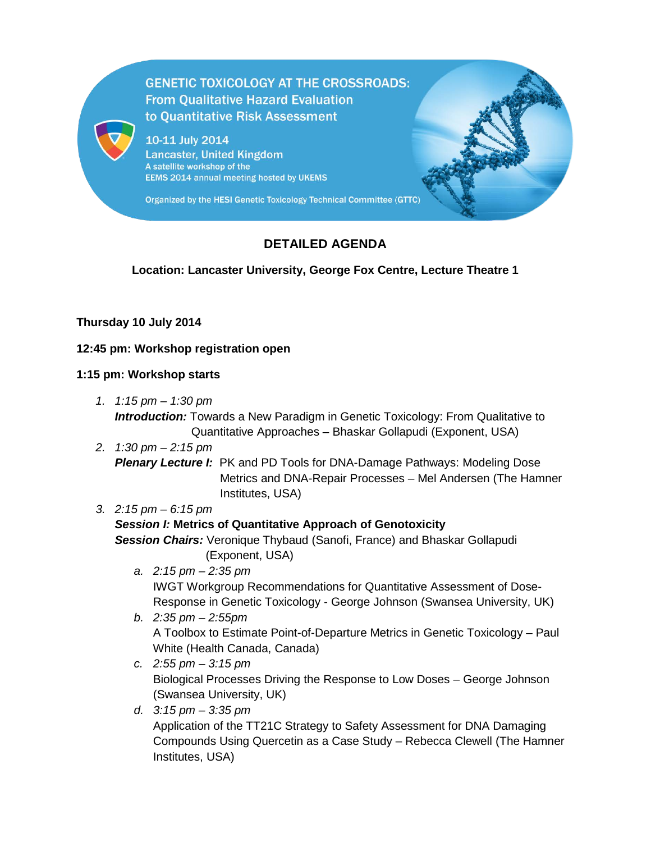**GENETIC TOXICOLOGY AT THE CROSSROADS: From Qualitative Hazard Evaluation** to Quantitative Risk Assessment

# 10-11 July 2014

**Lancaster, United Kingdom** A satellite workshop of the **EEMS 2014 annual meeting hosted by UKEMS** 

Organized by the HESI Genetic Toxicology Technical Committee (GTTC)

# **DETAILED AGENDA**

**Location: Lancaster University, George Fox Centre, Lecture Theatre 1**

# **Thursday 10 July 2014**

**12:45 pm: Workshop registration open**

# **1:15 pm: Workshop starts**

- *1. 1:15 pm – 1:30 pm Introduction:* Towards a New Paradigm in Genetic Toxicology: From Qualitative to Quantitative Approaches – Bhaskar Gollapudi (Exponent, USA)
- *2. 1:30 pm – 2:15 pm Plenary Lecture I:* PK and PD Tools for DNA-Damage Pathways: Modeling Dose Metrics and DNA-Repair Processes – Mel Andersen (The Hamner Institutes, USA)

# *3. 2:15 pm – 6:15 pm*

# *Session I:* **Metrics of Quantitative Approach of Genotoxicity**

*Session Chairs:* Veronique Thybaud (Sanofi, France) and Bhaskar Gollapudi (Exponent, USA)

- *a. 2:15 pm – 2:35 pm* IWGT Workgroup Recommendations for Quantitative Assessment of Dose-Response in Genetic Toxicology - George Johnson (Swansea University, UK)
- *b. 2:35 pm – 2:55pm* A Toolbox to Estimate Point-of-Departure Metrics in Genetic Toxicology – Paul White (Health Canada, Canada)
- *c. 2:55 pm – 3:15 pm* Biological Processes Driving the Response to Low Doses – George Johnson (Swansea University, UK)
- *d. 3:15 pm – 3:35 pm*

Application of the TT21C Strategy to Safety Assessment for DNA Damaging Compounds Using Quercetin as a Case Study – Rebecca Clewell (The Hamner Institutes, USA)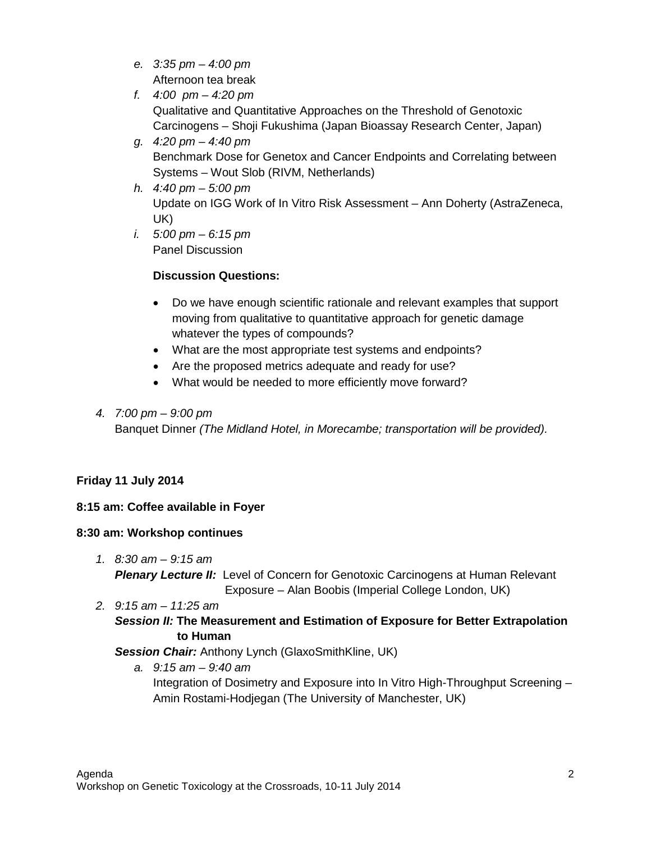- *e. 3:35 pm – 4:00 pm* Afternoon tea break
- *f. 4:00 pm – 4:20 pm*  Qualitative and Quantitative Approaches on the Threshold of Genotoxic Carcinogens – Shoji Fukushima (Japan Bioassay Research Center, Japan)
- *g. 4:20 pm – 4:40 pm* Benchmark Dose for Genetox and Cancer Endpoints and Correlating between Systems – Wout Slob (RIVM, Netherlands)
- *h. 4:40 pm – 5:00 pm* Update on IGG Work of In Vitro Risk Assessment – Ann Doherty (AstraZeneca, UK)
- *i. 5:00 pm – 6:15 pm*  Panel Discussion

# **Discussion Questions:**

- Do we have enough scientific rationale and relevant examples that support moving from qualitative to quantitative approach for genetic damage whatever the types of compounds?
- What are the most appropriate test systems and endpoints?
- Are the proposed metrics adequate and ready for use?
- What would be needed to more efficiently move forward?

# *4. 7:00 pm – 9:00 pm*

Banquet Dinner *(The Midland Hotel, in Morecambe; transportation will be provided).*

# **Friday 11 July 2014**

# **8:15 am: Coffee available in Foyer**

# **8:30 am: Workshop continues**

- *1. 8:30 am – 9:15 am*
	- **Plenary Lecture II:** Level of Concern for Genotoxic Carcinogens at Human Relevant Exposure – Alan Boobis (Imperial College London, UK)

# *2. 9:15 am – 11:25 am Session II:* **The Measurement and Estimation of Exposure for Better Extrapolation to Human**

- *Session Chair:* Anthony Lynch (GlaxoSmithKline, UK)
	- *a. 9:15 am – 9:40 am* Integration of Dosimetry and Exposure into In Vitro High-Throughput Screening – Amin Rostami-Hodjegan (The University of Manchester, UK)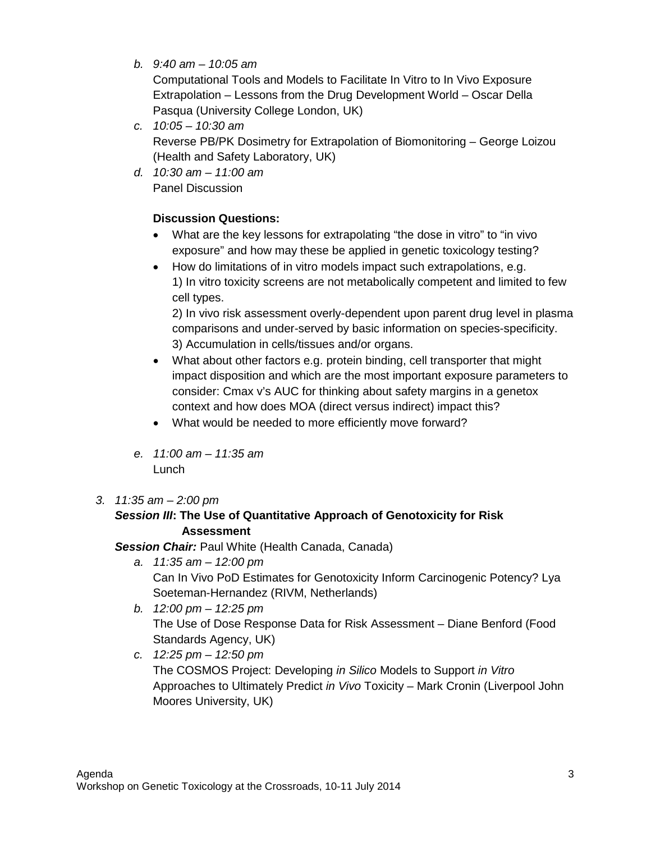*b. 9:40 am – 10:05 am* 

Computational Tools and Models to Facilitate In Vitro to In Vivo Exposure Extrapolation – Lessons from the Drug Development World – Oscar Della Pasqua (University College London, UK)

- *c. 10:05 – 10:30 am* Reverse PB/PK Dosimetry for Extrapolation of Biomonitoring – George Loizou (Health and Safety Laboratory, UK)
- *d. 10:30 am – 11:00 am* Panel Discussion

# **Discussion Questions:**

- What are the key lessons for extrapolating "the dose in vitro" to "in vivo exposure" and how may these be applied in genetic toxicology testing?
- How do limitations of in vitro models impact such extrapolations, e.g. 1) In vitro toxicity screens are not metabolically competent and limited to few cell types.

2) In vivo risk assessment overly-dependent upon parent drug level in plasma comparisons and under-served by basic information on species-specificity. 3) Accumulation in cells/tissues and/or organs.

- What about other factors e.g. protein binding, cell transporter that might impact disposition and which are the most important exposure parameters to consider: Cmax v's AUC for thinking about safety margins in a genetox context and how does MOA (direct versus indirect) impact this?
- What would be needed to more efficiently move forward?
- *e. 11:00 am – 11:35 am* Lunch
- *3. 11:35 am – 2:00 pm*

# *Session III***: The Use of Quantitative Approach of Genotoxicity for Risk Assessment**

*Session Chair:* Paul White (Health Canada, Canada)

- *a. 11:35 am – 12:00 pm* Can In Vivo PoD Estimates for Genotoxicity Inform Carcinogenic Potency? Lya Soeteman-Hernandez (RIVM, Netherlands)
- *b. 12:00 pm – 12:25 pm* The Use of Dose Response Data for Risk Assessment – Diane Benford (Food Standards Agency, UK)
- *c. 12:25 pm – 12:50 pm* The COSMOS Project: Developing *in Silico* Models to Support *in Vitro* Approaches to Ultimately Predict *in Vivo* Toxicity – Mark Cronin (Liverpool John Moores University, UK)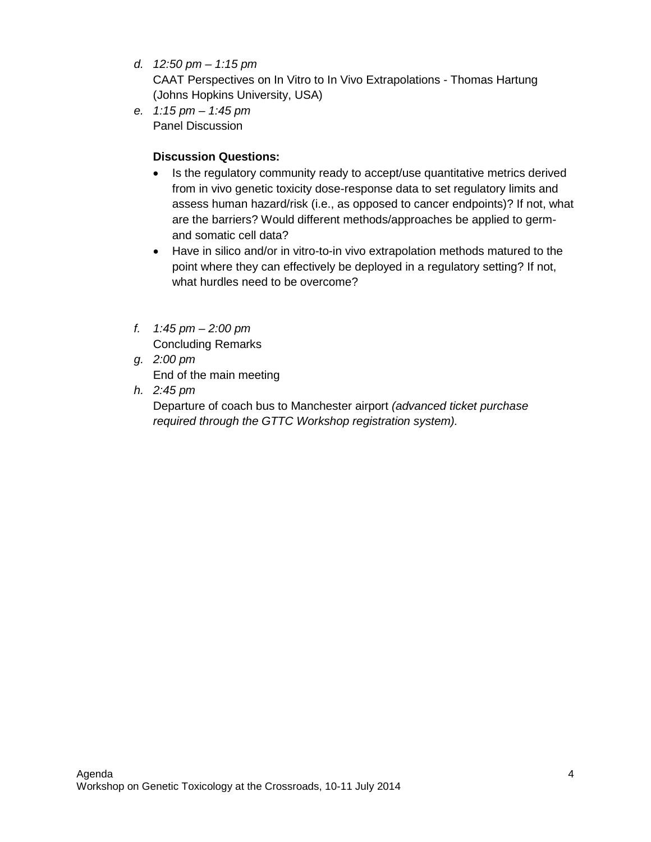- *d. 12:50 pm – 1:15 pm* CAAT Perspectives on In Vitro to In Vivo Extrapolations - Thomas Hartung (Johns Hopkins University, USA)
- *e. 1:15 pm – 1:45 pm* Panel Discussion

# **Discussion Questions:**

- Is the regulatory community ready to accept/use quantitative metrics derived from in vivo genetic toxicity dose-response data to set regulatory limits and assess human hazard/risk (i.e., as opposed to cancer endpoints)? If not, what are the barriers? Would different methods/approaches be applied to germand somatic cell data?
- Have in silico and/or in vitro-to-in vivo extrapolation methods matured to the point where they can effectively be deployed in a regulatory setting? If not, what hurdles need to be overcome?
- *f. 1:45 pm – 2:00 pm* Concluding Remarks
- *g. 2:00 pm* End of the main meeting
- *h. 2:45 pm*

Departure of coach bus to Manchester airport *(advanced ticket purchase required through the GTTC Workshop registration system).*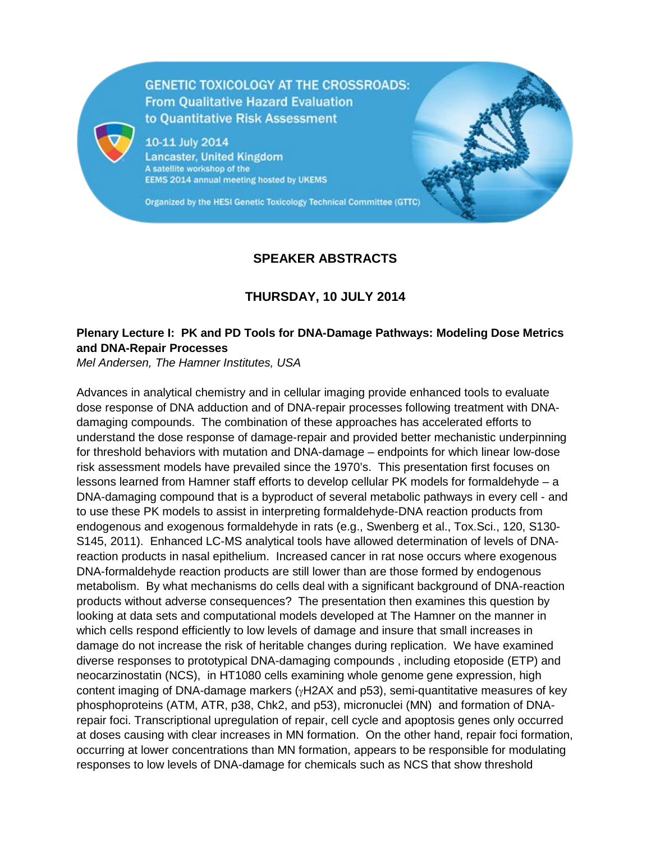**GENETIC TOXICOLOGY AT THE CROSSROADS: From Qualitative Hazard Evaluation** to Quantitative Risk Assessment

# 10-11 July 2014

**Lancaster, United Kingdom** A satellite workshop of the EEMS 2014 annual meeting hosted by UKEMS

Organized by the HESI Genetic Toxicology Technical Committee (GTTC)

# **SPEAKER ABSTRACTS**

# **THURSDAY, 10 JULY 2014**

# **Plenary Lecture I: PK and PD Tools for DNA-Damage Pathways: Modeling Dose Metrics and DNA-Repair Processes**

*Mel Andersen, The Hamner Institutes, USA*

Advances in analytical chemistry and in cellular imaging provide enhanced tools to evaluate dose response of DNA adduction and of DNA-repair processes following treatment with DNAdamaging compounds. The combination of these approaches has accelerated efforts to understand the dose response of damage-repair and provided better mechanistic underpinning for threshold behaviors with mutation and DNA-damage – endpoints for which linear low-dose risk assessment models have prevailed since the 1970's. This presentation first focuses on lessons learned from Hamner staff efforts to develop cellular PK models for formaldehyde – a DNA-damaging compound that is a byproduct of several metabolic pathways in every cell - and to use these PK models to assist in interpreting formaldehyde-DNA reaction products from endogenous and exogenous formaldehyde in rats (e.g., Swenberg et al., Tox.Sci., 120, S130- S145, 2011). Enhanced LC-MS analytical tools have allowed determination of levels of DNAreaction products in nasal epithelium. Increased cancer in rat nose occurs where exogenous DNA-formaldehyde reaction products are still lower than are those formed by endogenous metabolism. By what mechanisms do cells deal with a significant background of DNA-reaction products without adverse consequences? The presentation then examines this question by looking at data sets and computational models developed at The Hamner on the manner in which cells respond efficiently to low levels of damage and insure that small increases in damage do not increase the risk of heritable changes during replication. We have examined diverse responses to prototypical DNA-damaging compounds , including etoposide (ETP) and neocarzinostatin (NCS), in HT1080 cells examining whole genome gene expression, high content imaging of DNA-damage markers (γH2AX and p53), semi-quantitative measures of key phosphoproteins (ATM, ATR, p38, Chk2, and p53), micronuclei (MN) and formation of DNArepair foci. Transcriptional upregulation of repair, cell cycle and apoptosis genes only occurred at doses causing with clear increases in MN formation. On the other hand, repair foci formation, occurring at lower concentrations than MN formation, appears to be responsible for modulating responses to low levels of DNA-damage for chemicals such as NCS that show threshold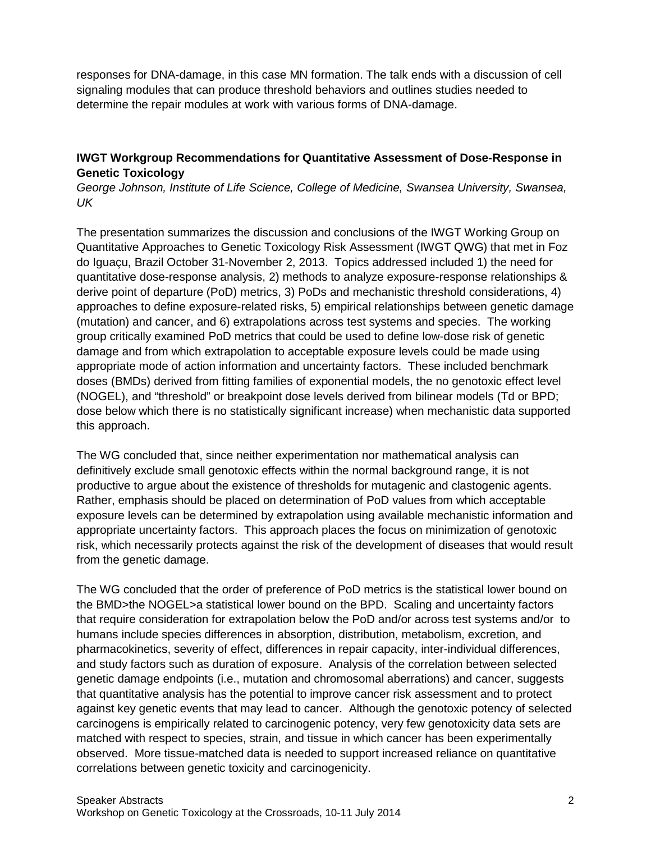responses for DNA-damage, in this case MN formation. The talk ends with a discussion of cell signaling modules that can produce threshold behaviors and outlines studies needed to determine the repair modules at work with various forms of DNA-damage.

#### **IWGT Workgroup Recommendations for Quantitative Assessment of Dose-Response in Genetic Toxicology**

*George Johnson, Institute of Life Science, College of Medicine, Swansea University, Swansea, UK*

The presentation summarizes the discussion and conclusions of the IWGT Working Group on Quantitative Approaches to Genetic Toxicology Risk Assessment (IWGT QWG) that met in Foz do Iguaçu, Brazil October 31-November 2, 2013. Topics addressed included 1) the need for quantitative dose-response analysis, 2) methods to analyze exposure-response relationships & derive point of departure (PoD) metrics, 3) PoDs and mechanistic threshold considerations, 4) approaches to define exposure-related risks, 5) empirical relationships between genetic damage (mutation) and cancer, and 6) extrapolations across test systems and species. The working group critically examined PoD metrics that could be used to define low-dose risk of genetic damage and from which extrapolation to acceptable exposure levels could be made using appropriate mode of action information and uncertainty factors. These included benchmark doses (BMDs) derived from fitting families of exponential models, the no genotoxic effect level (NOGEL), and "threshold" or breakpoint dose levels derived from bilinear models (Td or BPD; dose below which there is no statistically significant increase) when mechanistic data supported this approach.

The WG concluded that, since neither experimentation nor mathematical analysis can definitively exclude small genotoxic effects within the normal background range, it is not productive to argue about the existence of thresholds for mutagenic and clastogenic agents. Rather, emphasis should be placed on determination of PoD values from which acceptable exposure levels can be determined by extrapolation using available mechanistic information and appropriate uncertainty factors. This approach places the focus on minimization of genotoxic risk, which necessarily protects against the risk of the development of diseases that would result from the genetic damage.

The WG concluded that the order of preference of PoD metrics is the statistical lower bound on the BMD>the NOGEL>a statistical lower bound on the BPD. Scaling and uncertainty factors that require consideration for extrapolation below the PoD and/or across test systems and/or to humans include species differences in absorption, distribution, metabolism, excretion, and pharmacokinetics, severity of effect, differences in repair capacity, inter-individual differences, and study factors such as duration of exposure. Analysis of the correlation between selected genetic damage endpoints (i.e., mutation and chromosomal aberrations) and cancer, suggests that quantitative analysis has the potential to improve cancer risk assessment and to protect against key genetic events that may lead to cancer. Although the genotoxic potency of selected carcinogens is empirically related to carcinogenic potency, very few genotoxicity data sets are matched with respect to species, strain, and tissue in which cancer has been experimentally observed. More tissue-matched data is needed to support increased reliance on quantitative correlations between genetic toxicity and carcinogenicity.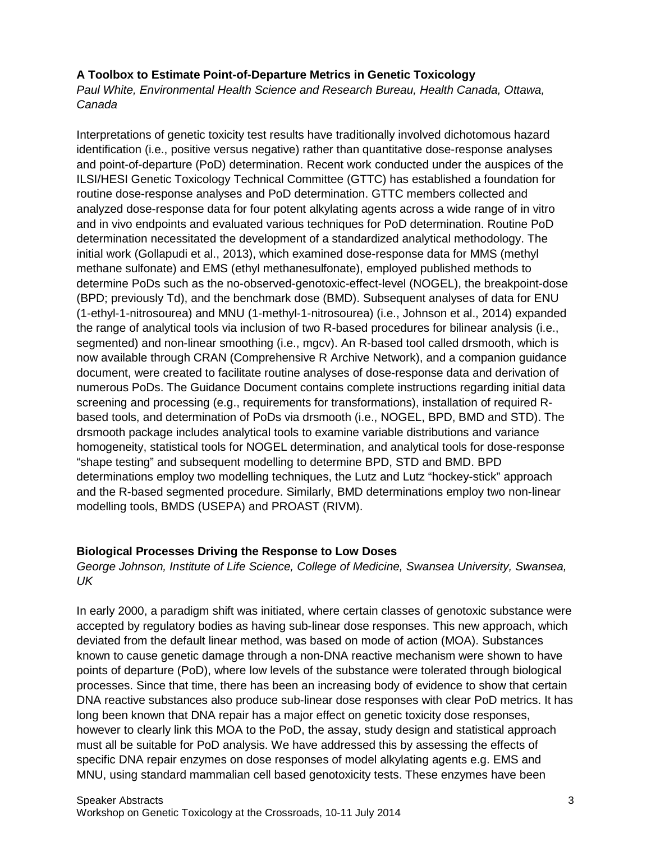#### **A Toolbox to Estimate Point-of-Departure Metrics in Genetic Toxicology**

*Paul White, Environmental Health Science and Research Bureau, Health Canada, Ottawa, Canada*

Interpretations of genetic toxicity test results have traditionally involved dichotomous hazard identification (i.e., positive versus negative) rather than quantitative dose-response analyses and point-of-departure (PoD) determination. Recent work conducted under the auspices of the ILSI/HESI Genetic Toxicology Technical Committee (GTTC) has established a foundation for routine dose-response analyses and PoD determination. GTTC members collected and analyzed dose-response data for four potent alkylating agents across a wide range of in vitro and in vivo endpoints and evaluated various techniques for PoD determination. Routine PoD determination necessitated the development of a standardized analytical methodology. The initial work (Gollapudi et al., 2013), which examined dose-response data for MMS (methyl methane sulfonate) and EMS (ethyl methanesulfonate), employed published methods to determine PoDs such as the no-observed-genotoxic-effect-level (NOGEL), the breakpoint-dose (BPD; previously Td), and the benchmark dose (BMD). Subsequent analyses of data for ENU (1-ethyl-1-nitrosourea) and MNU (1-methyl-1-nitrosourea) (i.e., Johnson et al., 2014) expanded the range of analytical tools via inclusion of two R-based procedures for bilinear analysis (i.e., segmented) and non-linear smoothing (i.e., mgcv). An R-based tool called drsmooth, which is now available through CRAN (Comprehensive R Archive Network), and a companion guidance document, were created to facilitate routine analyses of dose-response data and derivation of numerous PoDs. The Guidance Document contains complete instructions regarding initial data screening and processing (e.g., requirements for transformations), installation of required Rbased tools, and determination of PoDs via drsmooth (i.e., NOGEL, BPD, BMD and STD). The drsmooth package includes analytical tools to examine variable distributions and variance homogeneity, statistical tools for NOGEL determination, and analytical tools for dose-response "shape testing" and subsequent modelling to determine BPD, STD and BMD. BPD determinations employ two modelling techniques, the Lutz and Lutz "hockey-stick" approach and the R-based segmented procedure. Similarly, BMD determinations employ two non-linear modelling tools, BMDS (USEPA) and PROAST (RIVM).

#### **Biological Processes Driving the Response to Low Doses**

*George Johnson, Institute of Life Science, College of Medicine, Swansea University, Swansea, UK*

In early 2000, a paradigm shift was initiated, where certain classes of genotoxic substance were accepted by regulatory bodies as having sub-linear dose responses. This new approach, which deviated from the default linear method, was based on mode of action (MOA). Substances known to cause genetic damage through a non-DNA reactive mechanism were shown to have points of departure (PoD), where low levels of the substance were tolerated through biological processes. Since that time, there has been an increasing body of evidence to show that certain DNA reactive substances also produce sub-linear dose responses with clear PoD metrics. It has long been known that DNA repair has a major effect on genetic toxicity dose responses, however to clearly link this MOA to the PoD, the assay, study design and statistical approach must all be suitable for PoD analysis. We have addressed this by assessing the effects of specific DNA repair enzymes on dose responses of model alkylating agents e.g. EMS and MNU, using standard mammalian cell based genotoxicity tests. These enzymes have been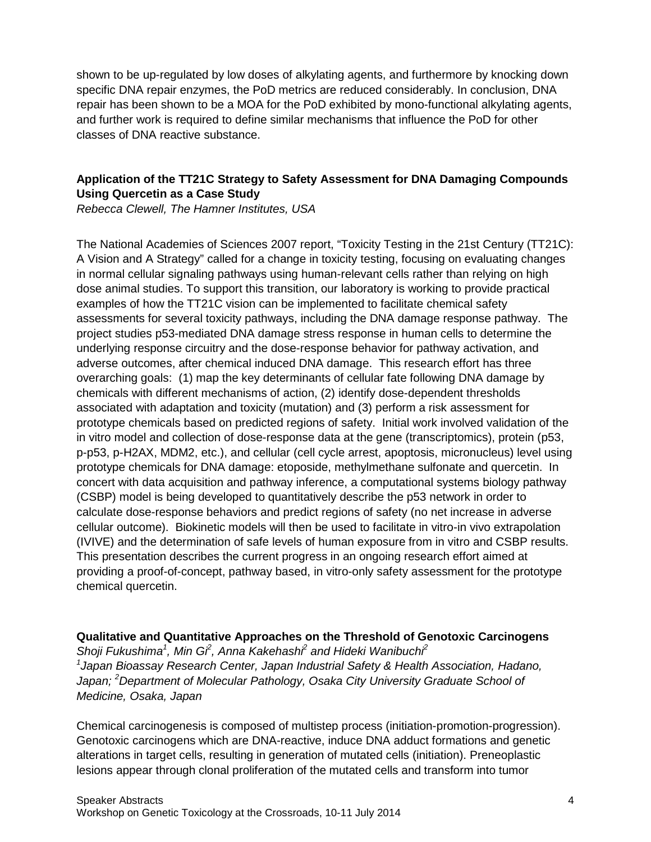shown to be up-regulated by low doses of alkylating agents, and furthermore by knocking down specific DNA repair enzymes, the PoD metrics are reduced considerably. In conclusion, DNA repair has been shown to be a MOA for the PoD exhibited by mono-functional alkylating agents, and further work is required to define similar mechanisms that influence the PoD for other classes of DNA reactive substance.

# **Application of the TT21C Strategy to Safety Assessment for DNA Damaging Compounds Using Quercetin as a Case Study**

*Rebecca Clewell, The Hamner Institutes, USA*

The National Academies of Sciences 2007 report, "Toxicity Testing in the 21st Century (TT21C): A Vision and A Strategy" called for a change in toxicity testing, focusing on evaluating changes in normal cellular signaling pathways using human-relevant cells rather than relying on high dose animal studies. To support this transition, our laboratory is working to provide practical examples of how the TT21C vision can be implemented to facilitate chemical safety assessments for several toxicity pathways, including the DNA damage response pathway. The project studies p53-mediated DNA damage stress response in human cells to determine the underlying response circuitry and the dose-response behavior for pathway activation, and adverse outcomes, after chemical induced DNA damage. This research effort has three overarching goals: (1) map the key determinants of cellular fate following DNA damage by chemicals with different mechanisms of action, (2) identify dose-dependent thresholds associated with adaptation and toxicity (mutation) and (3) perform a risk assessment for prototype chemicals based on predicted regions of safety. Initial work involved validation of the in vitro model and collection of dose-response data at the gene (transcriptomics), protein (p53, p-p53, p-H2AX, MDM2, etc.), and cellular (cell cycle arrest, apoptosis, micronucleus) level using prototype chemicals for DNA damage: etoposide, methylmethane sulfonate and quercetin. In concert with data acquisition and pathway inference, a computational systems biology pathway (CSBP) model is being developed to quantitatively describe the p53 network in order to calculate dose-response behaviors and predict regions of safety (no net increase in adverse cellular outcome). Biokinetic models will then be used to facilitate in vitro-in vivo extrapolation (IVIVE) and the determination of safe levels of human exposure from in vitro and CSBP results. This presentation describes the current progress in an ongoing research effort aimed at providing a proof-of-concept, pathway based, in vitro-only safety assessment for the prototype chemical quercetin.

**Qualitative and Quantitative Approaches on the Threshold of Genotoxic Carcinogens**  *Shoji Fukushima<sup>1</sup> , Min Gi2 , Anna Kakehashi2 and Hideki Wanibuchi2 1 Japan Bioassay Research Center, Japan Industrial Safety & Health Association, Hadano,*  Japan; <sup>2</sup> Department of Molecular Pathology, Osaka City University Graduate School of *Medicine, Osaka, Japan* 

Chemical carcinogenesis is composed of multistep process (initiation-promotion-progression). Genotoxic carcinogens which are DNA-reactive, induce DNA adduct formations and genetic alterations in target cells, resulting in generation of mutated cells (initiation). Preneoplastic lesions appear through clonal proliferation of the mutated cells and transform into tumor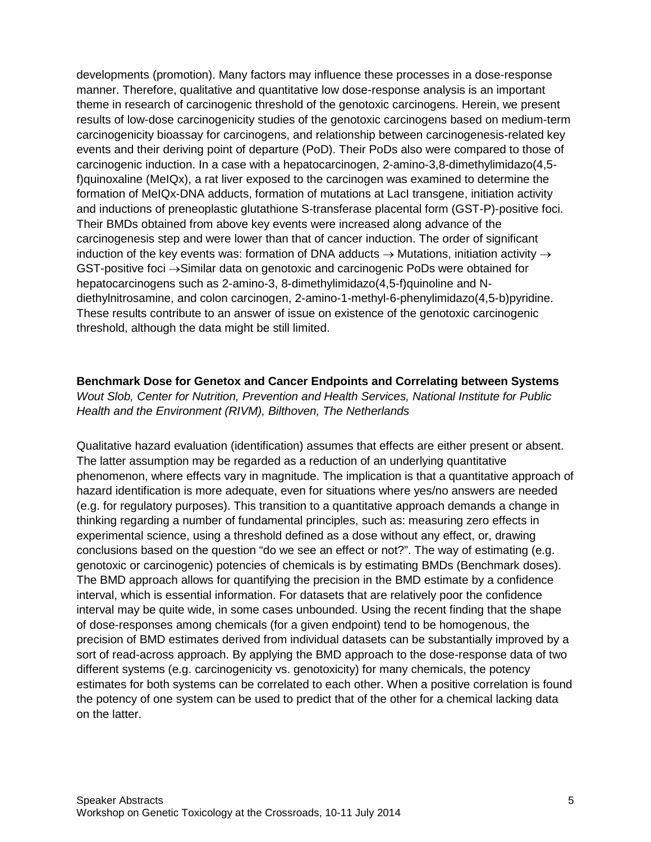developments (promotion). Many factors may influence these processes in a dose-response manner. Therefore, qualitative and quantitative low dose-response analysis is an important theme in research of carcinogenic threshold of the genotoxic carcinogens. Herein, we present results of low-dose carcinogenicity studies of the genotoxic carcinogens based on medium-term carcinogenicity bioassay for carcinogens, and relationship between carcinogenesis-related key events and their deriving point of departure (PoD). Their PoDs also were compared to those of carcinogenic induction. In a case with a hepatocarcinogen, 2-amino-3,8-dimethylimidazo(4,5 f)quinoxaline (MeIQx), a rat liver exposed to the carcinogen was examined to determine the formation of MeIQx-DNA adducts, formation of mutations at LacI transgene, initiation activity and inductions of preneoplastic glutathione S-transferase placental form (GST-P)-positive foci. Their BMDs obtained from above key events were increased along advance of the carcinogenesis step and were lower than that of cancer induction. The order of significant induction of the key events was: formation of DNA adducts  $\rightarrow$  Mutations, initiation activity  $\rightarrow$ GST-positive foci →Similar data on genotoxic and carcinogenic PoDs were obtained for hepatocarcinogens such as 2-amino-3, 8-dimethylimidazo(4,5-f)quinoline and Ndiethylnitrosamine, and colon carcinogen, 2-amino-1-methyl-6-phenylimidazo(4,5-b)pyridine. These results contribute to an answer of issue on existence of the genotoxic carcinogenic threshold, although the data might be still limited.

#### **Benchmark Dose for Genetox and Cancer Endpoints and Correlating between Systems** *Wout Slob, Center for Nutrition, Prevention and Health Services, National Institute for Public Health and the Environment (RIVM), Bilthoven, The Netherlands*

Qualitative hazard evaluation (identification) assumes that effects are either present or absent. The latter assumption may be regarded as a reduction of an underlying quantitative phenomenon, where effects vary in magnitude. The implication is that a quantitative approach of hazard identification is more adequate, even for situations where yes/no answers are needed (e.g. for regulatory purposes). This transition to a quantitative approach demands a change in thinking regarding a number of fundamental principles, such as: measuring zero effects in experimental science, using a threshold defined as a dose without any effect, or, drawing conclusions based on the question "do we see an effect or not?". The way of estimating (e.g. genotoxic or carcinogenic) potencies of chemicals is by estimating BMDs (Benchmark doses). The BMD approach allows for quantifying the precision in the BMD estimate by a confidence interval, which is essential information. For datasets that are relatively poor the confidence interval may be quite wide, in some cases unbounded. Using the recent finding that the shape of dose-responses among chemicals (for a given endpoint) tend to be homogenous, the precision of BMD estimates derived from individual datasets can be substantially improved by a sort of read-across approach. By applying the BMD approach to the dose-response data of two different systems (e.g. carcinogenicity vs. genotoxicity) for many chemicals, the potency estimates for both systems can be correlated to each other. When a positive correlation is found the potency of one system can be used to predict that of the other for a chemical lacking data on the latter.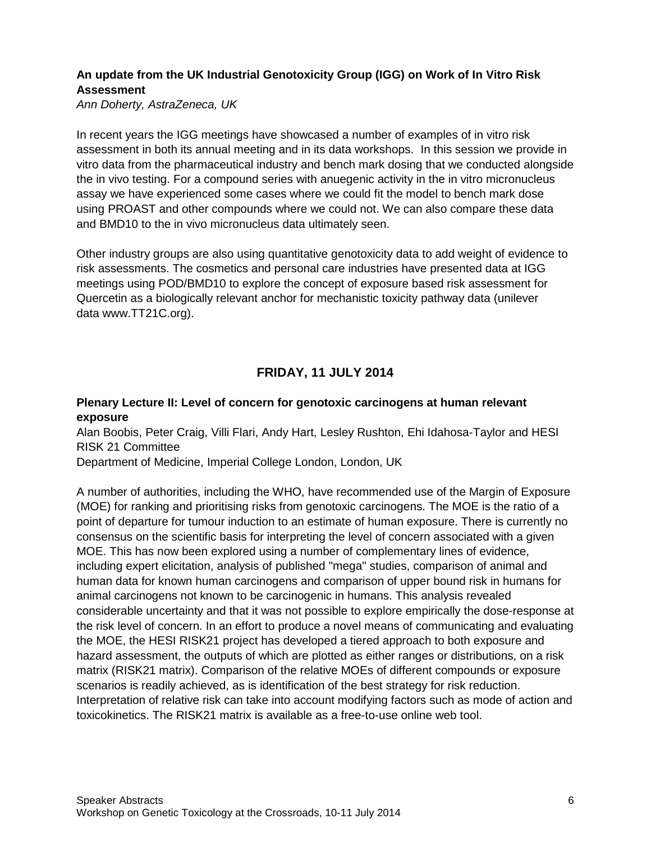# **An update from the UK Industrial Genotoxicity Group (IGG) on Work of In Vitro Risk Assessment**

*Ann Doherty, AstraZeneca, UK*

In recent years the IGG meetings have showcased a number of examples of in vitro risk assessment in both its annual meeting and in its data workshops. In this session we provide in vitro data from the pharmaceutical industry and bench mark dosing that we conducted alongside the in vivo testing. For a compound series with anuegenic activity in the in vitro micronucleus assay we have experienced some cases where we could fit the model to bench mark dose using PROAST and other compounds where we could not. We can also compare these data and BMD10 to the in vivo micronucleus data ultimately seen.

Other industry groups are also using quantitative genotoxicity data to add weight of evidence to risk assessments. The cosmetics and personal care industries have presented data at IGG meetings using POD/BMD10 to explore the concept of exposure based risk assessment for Quercetin as a biologically relevant anchor for mechanistic toxicity pathway data (unilever data [www.TT21C.org\)](http://www.tt21c.org/).

# **FRIDAY, 11 JULY 2014**

#### **Plenary Lecture II: Level of concern for genotoxic carcinogens at human relevant exposure**

Alan Boobis, Peter Craig, Villi Flari, Andy Hart, Lesley Rushton, Ehi Idahosa-Taylor and HESI RISK 21 Committee

Department of Medicine, Imperial College London, London, UK

A number of authorities, including the WHO, have recommended use of the Margin of Exposure (MOE) for ranking and prioritising risks from genotoxic carcinogens. The MOE is the ratio of a point of departure for tumour induction to an estimate of human exposure. There is currently no consensus on the scientific basis for interpreting the level of concern associated with a given MOE. This has now been explored using a number of complementary lines of evidence, including expert elicitation, analysis of published "mega" studies, comparison of animal and human data for known human carcinogens and comparison of upper bound risk in humans for animal carcinogens not known to be carcinogenic in humans. This analysis revealed considerable uncertainty and that it was not possible to explore empirically the dose-response at the risk level of concern. In an effort to produce a novel means of communicating and evaluating the MOE, the HESI RISK21 project has developed a tiered approach to both exposure and hazard assessment, the outputs of which are plotted as either ranges or distributions, on a risk matrix (RISK21 matrix). Comparison of the relative MOEs of different compounds or exposure scenarios is readily achieved, as is identification of the best strategy for risk reduction. Interpretation of relative risk can take into account modifying factors such as mode of action and toxicokinetics. The RISK21 matrix is available as a free-to-use online web tool.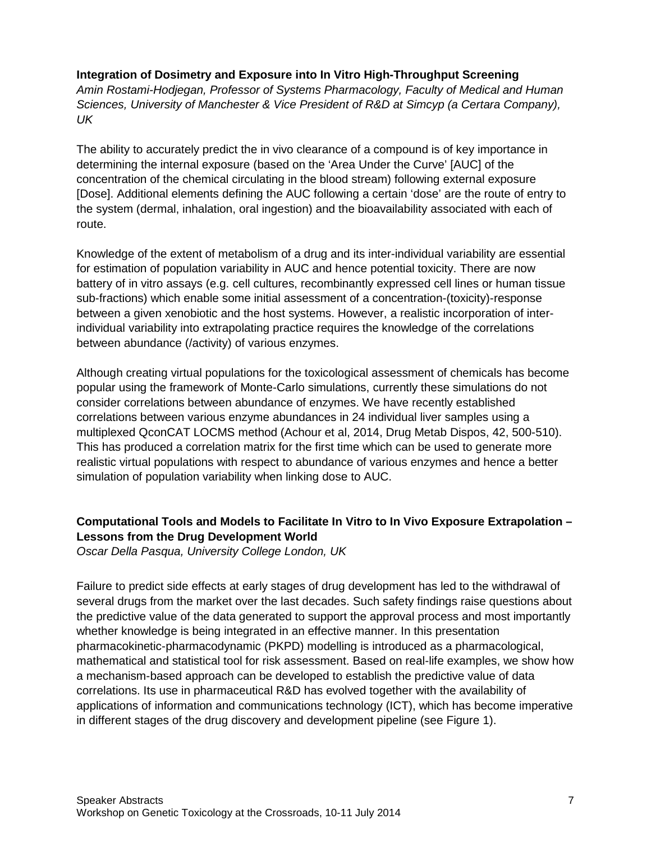#### **Integration of Dosimetry and Exposure into In Vitro High-Throughput Screening**

*Amin Rostami-Hodjegan, Professor of Systems Pharmacology, Faculty of Medical and Human Sciences, University of Manchester & Vice President of R&D at Simcyp (a Certara Company), UK*

The ability to accurately predict the in vivo clearance of a compound is of key importance in determining the internal exposure (based on the 'Area Under the Curve' [AUC] of the concentration of the chemical circulating in the blood stream) following external exposure [Dose]. Additional elements defining the AUC following a certain 'dose' are the route of entry to the system (dermal, inhalation, oral ingestion) and the bioavailability associated with each of route.

Knowledge of the extent of metabolism of a drug and its inter-individual variability are essential for estimation of population variability in AUC and hence potential toxicity. There are now battery of in vitro assays (e.g. cell cultures, recombinantly expressed cell lines or human tissue sub-fractions) which enable some initial assessment of a concentration-(toxicity)-response between a given xenobiotic and the host systems. However, a realistic incorporation of interindividual variability into extrapolating practice requires the knowledge of the correlations between abundance (/activity) of various enzymes.

Although creating virtual populations for the toxicological assessment of chemicals has become popular using the framework of Monte-Carlo simulations, currently these simulations do not consider correlations between abundance of enzymes. We have recently established correlations between various enzyme abundances in 24 individual liver samples using a multiplexed QconCAT LOCMS method (Achour et al, 2014, Drug Metab Dispos, 42, 500-510). This has produced a correlation matrix for the first time which can be used to generate more realistic virtual populations with respect to abundance of various enzymes and hence a better simulation of population variability when linking dose to AUC.

# **Computational Tools and Models to Facilitate In Vitro to In Vivo Exposure Extrapolation – Lessons from the Drug Development World**

*Oscar Della Pasqua, University College London, UK*

Failure to predict side effects at early stages of drug development has led to the withdrawal of several drugs from the market over the last decades. Such safety findings raise questions about the predictive value of the data generated to support the approval process and most importantly whether knowledge is being integrated in an effective manner. In this presentation pharmacokinetic-pharmacodynamic (PKPD) modelling is introduced as a pharmacological, mathematical and statistical tool for risk assessment. Based on real-life examples, we show how a mechanism-based approach can be developed to establish the predictive value of data correlations. Its use in pharmaceutical R&D has evolved together with the availability of applications of information and communications technology (ICT), which has become imperative in different stages of the drug discovery and development pipeline (see Figure 1).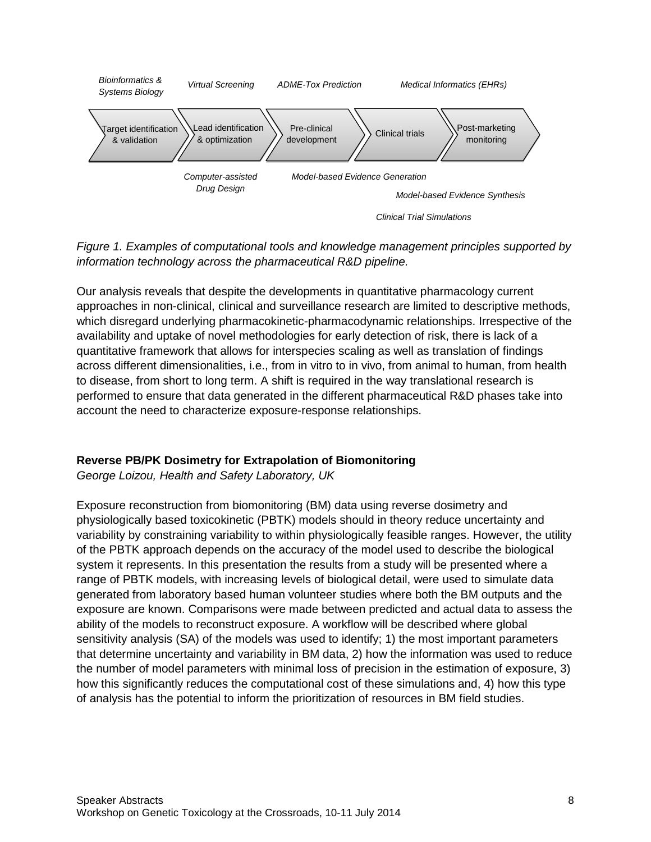

*Figure 1. Examples of computational tools and knowledge management principles supported by information technology across the pharmaceutical R&D pipeline.*

Our analysis reveals that despite the developments in quantitative pharmacology current approaches in non-clinical, clinical and surveillance research are limited to descriptive methods, which disregard underlying pharmacokinetic-pharmacodynamic relationships. Irrespective of the availability and uptake of novel methodologies for early detection of risk, there is lack of a quantitative framework that allows for interspecies scaling as well as translation of findings across different dimensionalities, i.e., from in vitro to in vivo, from animal to human, from health to disease, from short to long term. A shift is required in the way translational research is performed to ensure that data generated in the different pharmaceutical R&D phases take into account the need to characterize exposure-response relationships.

#### **Reverse PB/PK Dosimetry for Extrapolation of Biomonitoring**

*George Loizou, Health and Safety Laboratory, UK*

Exposure reconstruction from biomonitoring (BM) data using reverse dosimetry and physiologically based toxicokinetic (PBTK) models should in theory reduce uncertainty and variability by constraining variability to within physiologically feasible ranges. However, the utility of the PBTK approach depends on the accuracy of the model used to describe the biological system it represents. In this presentation the results from a study will be presented where a range of PBTK models, with increasing levels of biological detail, were used to simulate data generated from laboratory based human volunteer studies where both the BM outputs and the exposure are known. Comparisons were made between predicted and actual data to assess the ability of the models to reconstruct exposure. A workflow will be described where global sensitivity analysis (SA) of the models was used to identify; 1) the most important parameters that determine uncertainty and variability in BM data, 2) how the information was used to reduce the number of model parameters with minimal loss of precision in the estimation of exposure, 3) how this significantly reduces the computational cost of these simulations and, 4) how this type of analysis has the potential to inform the prioritization of resources in BM field studies.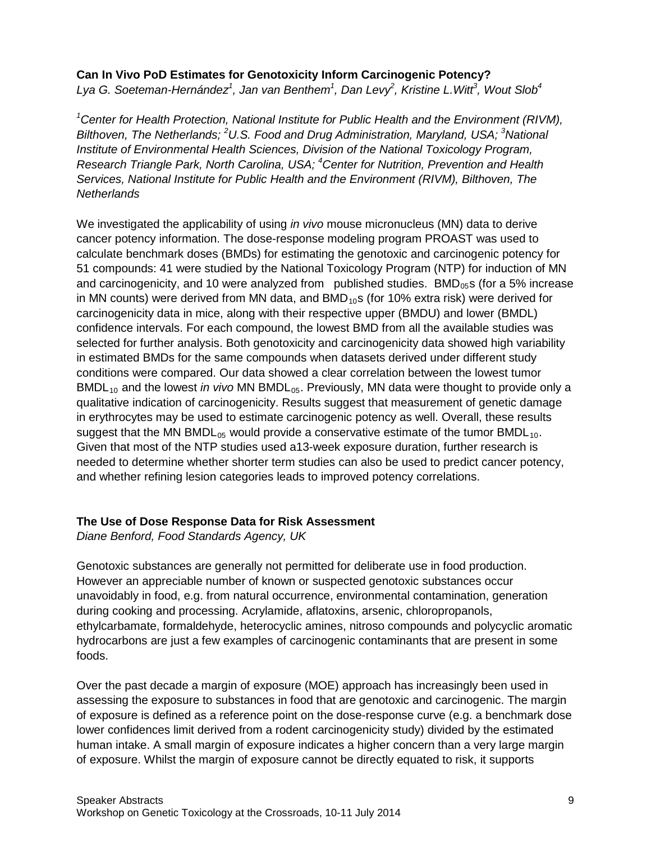### **Can In Vivo PoD Estimates for Genotoxicity Inform Carcinogenic Potency?**

Lya G. Soeteman-Hernández<sup>1</sup>, Jan van Benthem<sup>1</sup>, Dan Levy<sup>2</sup>, Kristine L.Witt<sup>3</sup>, Wout Slob<sup>4</sup>

<sup>1</sup> Center for Health Protection, National Institute for Public Health and the Environment (RIVM), Bilthoven, The Netherlands; <sup>2</sup>U.S. Food and Drug Administration, Maryland, USA; <sup>3</sup>National *Institute of Environmental Health Sciences, Division of the National Toxicology Program, Research Triangle Park, North Carolina, USA; 4 Center for Nutrition, Prevention and Health Services, National Institute for Public Health and the Environment (RIVM), Bilthoven, The Netherlands*

We investigated the applicability of using *in vivo* mouse micronucleus (MN) data to derive cancer potency information. The dose-response modeling program PROAST was used to calculate benchmark doses (BMDs) for estimating the genotoxic and carcinogenic potency for 51 compounds: 41 were studied by the National Toxicology Program (NTP) for induction of MN and carcinogenicity, and 10 were analyzed from published studies.  $BMD_{0.5}$  (for a 5% increase in MN counts) were derived from MN data, and  $BMD_{10}$ s (for 10% extra risk) were derived for carcinogenicity data in mice, along with their respective upper (BMDU) and lower (BMDL) confidence intervals. For each compound, the lowest BMD from all the available studies was selected for further analysis. Both genotoxicity and carcinogenicity data showed high variability in estimated BMDs for the same compounds when datasets derived under different study conditions were compared. Our data showed a clear correlation between the lowest tumor BMDL<sub>10</sub> and the lowest *in vivo* MN BMDL<sub>05</sub>. Previously, MN data were thought to provide only a qualitative indication of carcinogenicity. Results suggest that measurement of genetic damage in erythrocytes may be used to estimate carcinogenic potency as well. Overall, these results suggest that the MN BMDL $_{05}$  would provide a conservative estimate of the tumor BMDL $_{10}$ . Given that most of the NTP studies used a13-week exposure duration, further research is needed to determine whether shorter term studies can also be used to predict cancer potency, and whether refining lesion categories leads to improved potency correlations.

### **The Use of Dose Response Data for Risk Assessment**

*Diane Benford, Food Standards Agency, UK*

Genotoxic substances are generally not permitted for deliberate use in food production. However an appreciable number of known or suspected genotoxic substances occur unavoidably in food, e.g. from natural occurrence, environmental contamination, generation during cooking and processing. Acrylamide, aflatoxins, arsenic, chloropropanols, ethylcarbamate, formaldehyde, heterocyclic amines, nitroso compounds and polycyclic aromatic hydrocarbons are just a few examples of carcinogenic contaminants that are present in some foods.

Over the past decade a margin of exposure (MOE) approach has increasingly been used in assessing the exposure to substances in food that are genotoxic and carcinogenic. The margin of exposure is defined as a reference point on the dose-response curve (e.g. a benchmark dose lower confidences limit derived from a rodent carcinogenicity study) divided by the estimated human intake. A small margin of exposure indicates a higher concern than a very large margin of exposure. Whilst the margin of exposure cannot be directly equated to risk, it supports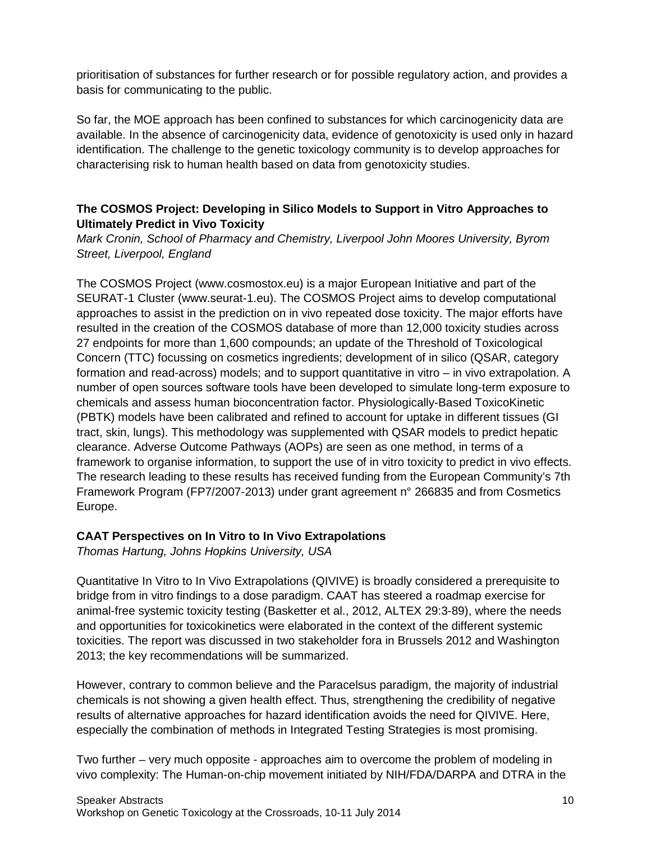prioritisation of substances for further research or for possible regulatory action, and provides a basis for communicating to the public.

So far, the MOE approach has been confined to substances for which carcinogenicity data are available. In the absence of carcinogenicity data, evidence of genotoxicity is used only in hazard identification. The challenge to the genetic toxicology community is to develop approaches for characterising risk to human health based on data from genotoxicity studies.

### **The COSMOS Project: Developing in Silico Models to Support in Vitro Approaches to Ultimately Predict in Vivo Toxicity**

*Mark Cronin, School of Pharmacy and Chemistry, Liverpool John Moores University, Byrom Street, Liverpool, England*

The COSMOS Project (www.cosmostox.eu) is a major European Initiative and part of the SEURAT-1 Cluster (www.seurat-1.eu). The COSMOS Project aims to develop computational approaches to assist in the prediction on in vivo repeated dose toxicity. The major efforts have resulted in the creation of the COSMOS database of more than 12,000 toxicity studies across 27 endpoints for more than 1,600 compounds; an update of the Threshold of Toxicological Concern (TTC) focussing on cosmetics ingredients; development of in silico (QSAR, category formation and read-across) models; and to support quantitative in vitro – in vivo extrapolation. A number of open sources software tools have been developed to simulate long-term exposure to chemicals and assess human bioconcentration factor. Physiologically-Based ToxicoKinetic (PBTK) models have been calibrated and refined to account for uptake in different tissues (GI tract, skin, lungs). This methodology was supplemented with QSAR models to predict hepatic clearance. Adverse Outcome Pathways (AOPs) are seen as one method, in terms of a framework to organise information, to support the use of in vitro toxicity to predict in vivo effects. The research leading to these results has received funding from the European Community's 7th Framework Program (FP7/2007-2013) under grant agreement n° 266835 and from Cosmetics Europe.

### **CAAT Perspectives on In Vitro to In Vivo Extrapolations**

*Thomas Hartung, Johns Hopkins University, USA*

Quantitative In Vitro to In Vivo Extrapolations (QIVIVE) is broadly considered a prerequisite to bridge from in vitro findings to a dose paradigm. CAAT has steered a roadmap exercise for animal-free systemic toxicity testing (Basketter et al., 2012, ALTEX 29:3-89), where the needs and opportunities for toxicokinetics were elaborated in the context of the different systemic toxicities. The report was discussed in two stakeholder fora in Brussels 2012 and Washington 2013; the key recommendations will be summarized.

However, contrary to common believe and the Paracelsus paradigm, the majority of industrial chemicals is not showing a given health effect. Thus, strengthening the credibility of negative results of alternative approaches for hazard identification avoids the need for QIVIVE. Here, especially the combination of methods in Integrated Testing Strategies is most promising.

Two further – very much opposite - approaches aim to overcome the problem of modeling in vivo complexity: The Human-on-chip movement initiated by NIH/FDA/DARPA and DTRA in the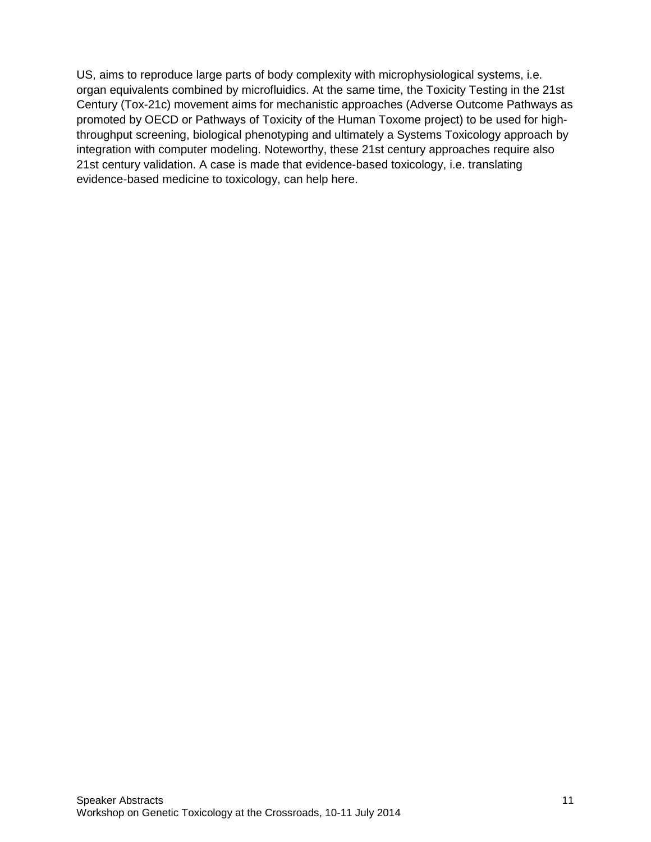US, aims to reproduce large parts of body complexity with microphysiological systems, i.e. organ equivalents combined by microfluidics. At the same time, the Toxicity Testing in the 21st Century (Tox-21c) movement aims for mechanistic approaches (Adverse Outcome Pathways as promoted by OECD or Pathways of Toxicity of the Human Toxome project) to be used for highthroughput screening, biological phenotyping and ultimately a Systems Toxicology approach by integration with computer modeling. Noteworthy, these 21st century approaches require also 21st century validation. A case is made that evidence-based toxicology, i.e. translating evidence-based medicine to toxicology, can help here.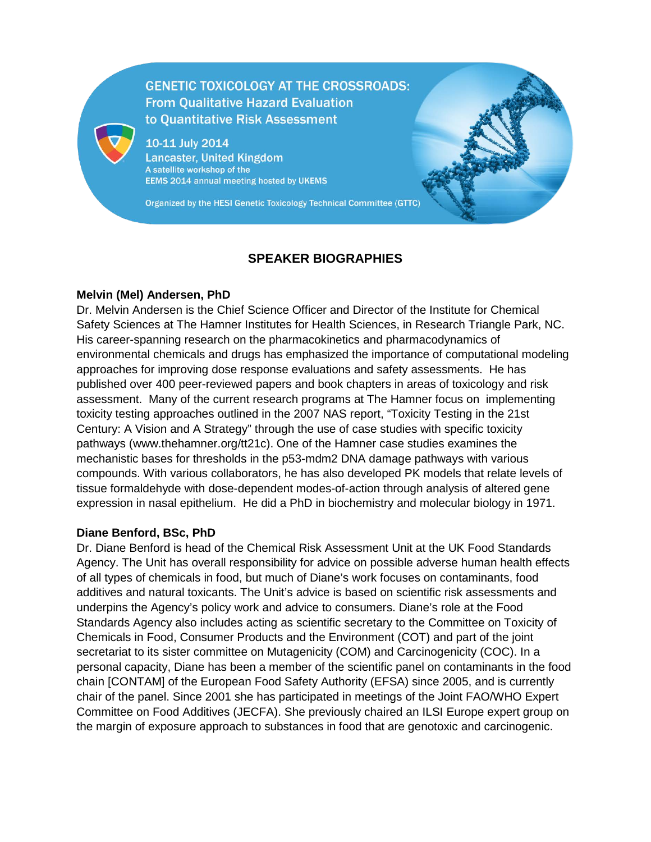# **GENETIC TOXICOLOGY AT THE CROSSROADS: From Qualitative Hazard Evaluation** to Quantitative Risk Assessment

#### 10-11 July 2014

Lancaster, United Kingdom A satellite workshop of the **EEMS 2014 annual meeting hosted by UKEMS** 

Organized by the HESI Genetic Toxicology Technical Committee (GTTC)

# **SPEAKER BIOGRAPHIES**

#### **Melvin (Mel) Andersen, PhD**

Dr. Melvin Andersen is the Chief Science Officer and Director of the Institute for Chemical Safety Sciences at The Hamner Institutes for Health Sciences, in Research Triangle Park, NC. His career-spanning research on the pharmacokinetics and pharmacodynamics of environmental chemicals and drugs has emphasized the importance of computational modeling approaches for improving dose response evaluations and safety assessments. He has published over 400 peer-reviewed papers and book chapters in areas of toxicology and risk assessment. Many of the current research programs at The Hamner focus on implementing toxicity testing approaches outlined in the 2007 NAS report, "Toxicity Testing in the 21st Century: A Vision and A Strategy" through the use of case studies with specific toxicity pathways (www.thehamner.org/tt21c). One of the Hamner case studies examines the mechanistic bases for thresholds in the p53-mdm2 DNA damage pathways with various compounds. With various collaborators, he has also developed PK models that relate levels of tissue formaldehyde with dose-dependent modes-of-action through analysis of altered gene expression in nasal epithelium. He did a PhD in biochemistry and molecular biology in 1971.

#### **Diane Benford, BSc, PhD**

Dr. Diane Benford is head of the Chemical Risk Assessment Unit at the UK Food Standards Agency. The Unit has overall responsibility for advice on possible adverse human health effects of all types of chemicals in food, but much of Diane's work focuses on contaminants, food additives and natural toxicants. The Unit's advice is based on scientific risk assessments and underpins the Agency's policy work and advice to consumers. Diane's role at the Food Standards Agency also includes acting as scientific secretary to the Committee on Toxicity of Chemicals in Food, Consumer Products and the Environment (COT) and part of the joint secretariat to its sister committee on Mutagenicity (COM) and Carcinogenicity (COC). In a personal capacity, Diane has been a member of the scientific panel on contaminants in the food chain [CONTAM] of the European Food Safety Authority (EFSA) since 2005, and is currently chair of the panel. Since 2001 she has participated in meetings of the Joint FAO/WHO Expert Committee on Food Additives (JECFA). She previously chaired an ILSI Europe expert group on the margin of exposure approach to substances in food that are genotoxic and carcinogenic.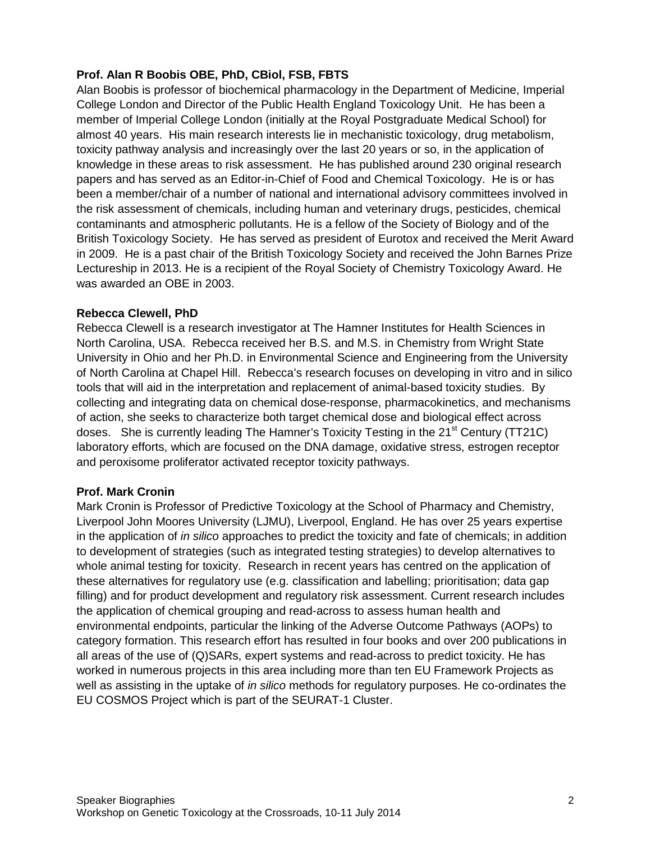#### **Prof. Alan R Boobis OBE, PhD, CBiol, FSB, FBTS**

Alan Boobis is professor of biochemical pharmacology in the Department of Medicine, Imperial College London and Director of the Public Health England Toxicology Unit. He has been a member of Imperial College London (initially at the Royal Postgraduate Medical School) for almost 40 years. His main research interests lie in mechanistic toxicology, drug metabolism, toxicity pathway analysis and increasingly over the last 20 years or so, in the application of knowledge in these areas to risk assessment. He has published around 230 original research papers and has served as an Editor-in-Chief of Food and Chemical Toxicology. He is or has been a member/chair of a number of national and international advisory committees involved in the risk assessment of chemicals, including human and veterinary drugs, pesticides, chemical contaminants and atmospheric pollutants. He is a fellow of the Society of Biology and of the British Toxicology Society. He has served as president of Eurotox and received the Merit Award in 2009. He is a past chair of the British Toxicology Society and received the John Barnes Prize Lectureship in 2013. He is a recipient of the Royal Society of Chemistry Toxicology Award. He was awarded an OBE in 2003.

#### **Rebecca Clewell, PhD**

Rebecca Clewell is a research investigator at The Hamner Institutes for Health Sciences in North Carolina, USA. Rebecca received her B.S. and M.S. in Chemistry from Wright State University in Ohio and her Ph.D. in Environmental Science and Engineering from the University of North Carolina at Chapel Hill. Rebecca's research focuses on developing in vitro and in silico tools that will aid in the interpretation and replacement of animal-based toxicity studies. By collecting and integrating data on chemical dose-response, pharmacokinetics, and mechanisms of action, she seeks to characterize both target chemical dose and biological effect across doses. She is currently leading The Hamner's Toxicity Testing in the 21<sup>st</sup> Century (TT21C) laboratory efforts, which are focused on the DNA damage, oxidative stress, estrogen receptor and peroxisome proliferator activated receptor toxicity pathways.

#### **Prof. Mark Cronin**

Mark Cronin is Professor of Predictive Toxicology at the School of Pharmacy and Chemistry, Liverpool John Moores University (LJMU), Liverpool, England. He has over 25 years expertise in the application of *in silico* approaches to predict the toxicity and fate of chemicals; in addition to development of strategies (such as integrated testing strategies) to develop alternatives to whole animal testing for toxicity. Research in recent years has centred on the application of these alternatives for regulatory use (e.g. classification and labelling; prioritisation; data gap filling) and for product development and regulatory risk assessment. Current research includes the application of chemical grouping and read-across to assess human health and environmental endpoints, particular the linking of the Adverse Outcome Pathways (AOPs) to category formation. This research effort has resulted in four books and over 200 publications in all areas of the use of (Q)SARs, expert systems and read-across to predict toxicity. He has worked in numerous projects in this area including more than ten EU Framework Projects as well as assisting in the uptake of *in silico* methods for regulatory purposes. He co-ordinates the EU COSMOS Project which is part of the SEURAT-1 Cluster.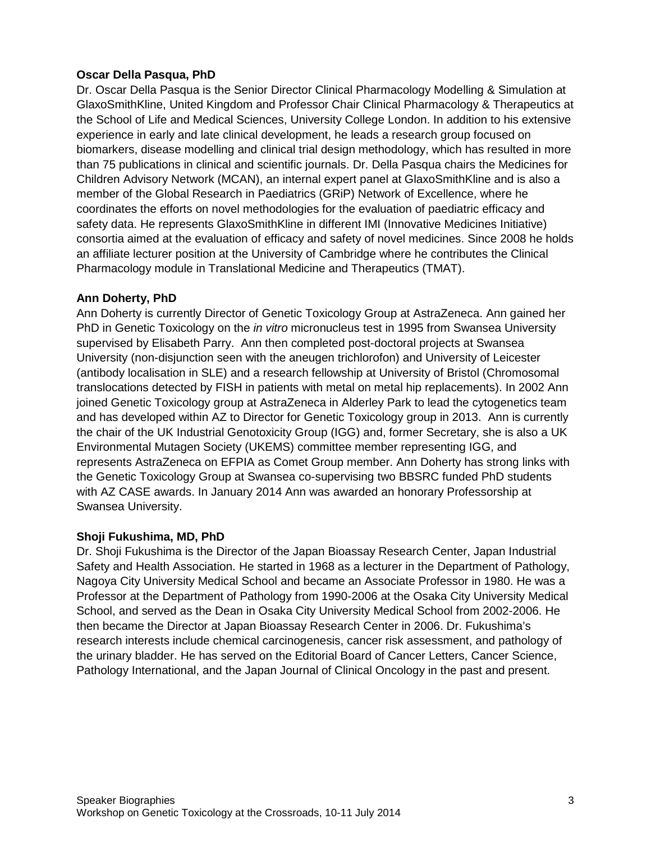#### **Oscar Della Pasqua, PhD**

Dr. Oscar Della Pasqua is the Senior Director Clinical Pharmacology Modelling & Simulation at GlaxoSmithKline, United Kingdom and Professor Chair Clinical Pharmacology & Therapeutics at the School of Life and Medical Sciences, University College London. In addition to his extensive experience in early and late clinical development, he leads a research group focused on biomarkers, disease modelling and clinical trial design methodology, which has resulted in more than 75 publications in clinical and scientific journals. Dr. Della Pasqua chairs the Medicines for Children Advisory Network (MCAN), an internal expert panel at GlaxoSmithKline and is also a member of the Global Research in Paediatrics (GRiP) Network of Excellence, where he coordinates the efforts on novel methodologies for the evaluation of paediatric efficacy and safety data. He represents GlaxoSmithKline in different IMI (Innovative Medicines Initiative) consortia aimed at the evaluation of efficacy and safety of novel medicines. Since 2008 he holds an affiliate lecturer position at the University of Cambridge where he contributes the Clinical Pharmacology module in Translational Medicine and Therapeutics (TMAT).

#### **Ann Doherty, PhD**

Ann Doherty is currently Director of Genetic Toxicology Group at AstraZeneca. Ann gained her PhD in Genetic Toxicology on the *in vitro* micronucleus test in 1995 from Swansea University supervised by Elisabeth Parry. Ann then completed post-doctoral projects at Swansea University (non-disjunction seen with the aneugen trichlorofon) and University of Leicester (antibody localisation in SLE) and a research fellowship at University of Bristol (Chromosomal translocations detected by FISH in patients with metal on metal hip replacements). In 2002 Ann joined Genetic Toxicology group at AstraZeneca in Alderley Park to lead the cytogenetics team and has developed within AZ to Director for Genetic Toxicology group in 2013. Ann is currently the chair of the UK Industrial Genotoxicity Group (IGG) and, former Secretary, she is also a UK Environmental Mutagen Society (UKEMS) committee member representing IGG, and represents AstraZeneca on EFPIA as Comet Group member. Ann Doherty has strong links with the Genetic Toxicology Group at Swansea co-supervising two BBSRC funded PhD students with AZ CASE awards. In January 2014 Ann was awarded an honorary Professorship at Swansea University.

#### **Shoji Fukushima, MD, PhD**

Dr. Shoji Fukushima is the Director of the Japan Bioassay Research Center, Japan Industrial Safety and Health Association. He started in 1968 as a lecturer in the Department of Pathology, Nagoya City University Medical School and became an Associate Professor in 1980. He was a Professor at the Department of Pathology from 1990-2006 at the Osaka City University Medical School, and served as the Dean in Osaka City University Medical School from 2002-2006. He then became the Director at Japan Bioassay Research Center in 2006. Dr. Fukushima's research interests include chemical carcinogenesis, cancer risk assessment, and pathology of the urinary bladder. He has served on the Editorial Board of Cancer Letters, Cancer Science, Pathology International, and the Japan Journal of Clinical Oncology in the past and present.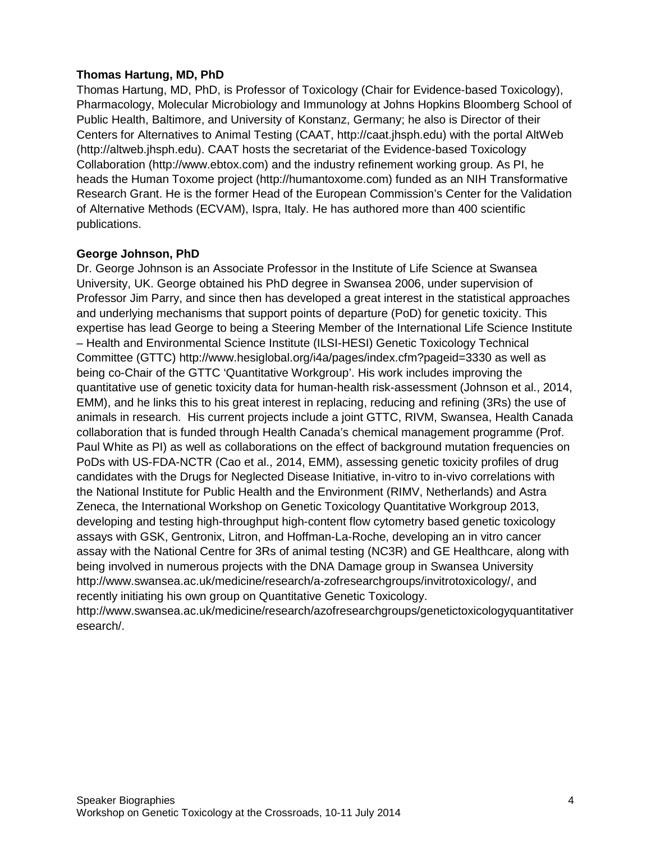#### **Thomas Hartung, MD, PhD**

Thomas Hartung, MD, PhD, is Professor of Toxicology (Chair for Evidence-based Toxicology), Pharmacology, Molecular Microbiology and Immunology at Johns Hopkins Bloomberg School of Public Health, Baltimore, and University of Konstanz, Germany; he also is Director of their Centers for Alternatives to Animal Testing (CAAT, http://caat.jhsph.edu) with the portal AltWeb (http://altweb.jhsph.edu). CAAT hosts the secretariat of the Evidence-based Toxicology Collaboration (http://www.ebtox.com) and the industry refinement working group. As PI, he heads the Human Toxome project (http://humantoxome.com) funded as an NIH Transformative Research Grant. He is the former Head of the European Commission's Center for the Validation of Alternative Methods (ECVAM), Ispra, Italy. He has authored more than 400 scientific publications.

#### **George Johnson, PhD**

Dr. George Johnson is an Associate Professor in the Institute of Life Science at Swansea University, UK. George obtained his PhD degree in Swansea 2006, under supervision of Professor Jim Parry, and since then has developed a great interest in the statistical approaches and underlying mechanisms that support points of departure (PoD) for genetic toxicity. This expertise has lead George to being a Steering Member of the International Life Science Institute – Health and Environmental Science Institute (ILSI-HESI) Genetic Toxicology Technical Committee (GTTC) http://www.hesiglobal.org/i4a/pages/index.cfm?pageid=3330 as well as being co-Chair of the GTTC 'Quantitative Workgroup'. His work includes improving the quantitative use of genetic toxicity data for human-health risk-assessment (Johnson et al., 2014, EMM), and he links this to his great interest in replacing, reducing and refining (3Rs) the use of animals in research. His current projects include a joint GTTC, RIVM, Swansea, Health Canada collaboration that is funded through Health Canada's chemical management programme (Prof. Paul White as PI) as well as collaborations on the effect of background mutation frequencies on PoDs with US-FDA-NCTR (Cao et al., 2014, EMM), assessing genetic toxicity profiles of drug candidates with the Drugs for Neglected Disease Initiative, in-vitro to in-vivo correlations with the National Institute for Public Health and the Environment (RIMV, Netherlands) and Astra Zeneca, the International Workshop on Genetic Toxicology Quantitative Workgroup 2013, developing and testing high-throughput high-content flow cytometry based genetic toxicology assays with GSK, Gentronix, Litron, and Hoffman-La-Roche, developing an in vitro cancer assay with the National Centre for 3Rs of animal testing (NC3R) and GE Healthcare, along with being involved in numerous projects with the DNA Damage group in Swansea University http://www.swansea.ac.uk/medicine/research/a-zofresearchgroups/invitrotoxicology/, and recently initiating his own group on Quantitative Genetic Toxicology. http://www.swansea.ac.uk/medicine/research/azofresearchgroups/genetictoxicologyquantitativer esearch/.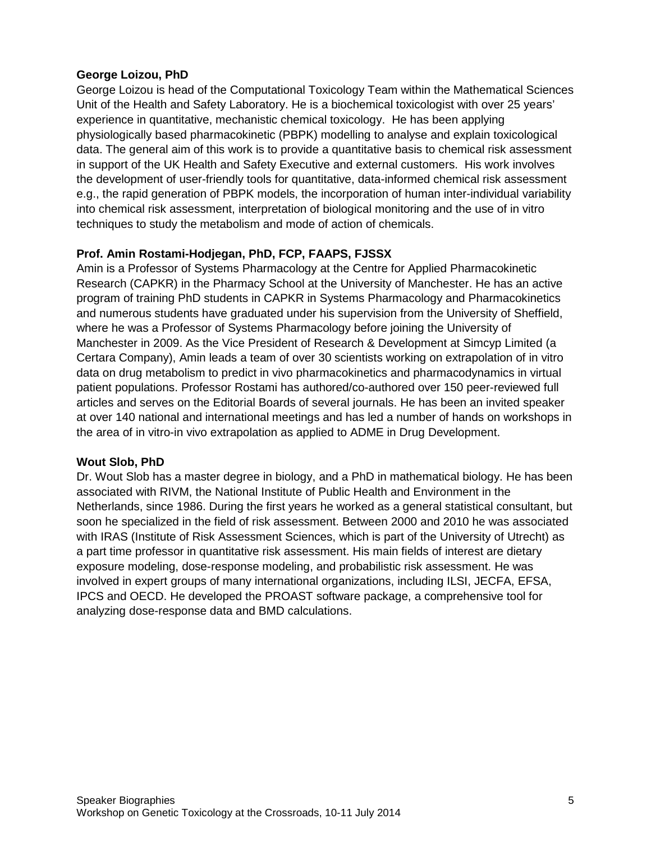#### **George Loizou, PhD**

George Loizou is head of the Computational Toxicology Team within the Mathematical Sciences Unit of the Health and Safety Laboratory. He is a biochemical toxicologist with over 25 years' experience in quantitative, mechanistic chemical toxicology. He has been applying physiologically based pharmacokinetic (PBPK) modelling to analyse and explain toxicological data. The general aim of this work is to provide a quantitative basis to chemical risk assessment in support of the UK Health and Safety Executive and external customers. His work involves the development of user-friendly tools for quantitative, data-informed chemical risk assessment e.g., the rapid generation of PBPK models, the incorporation of human inter-individual variability into chemical risk assessment, interpretation of biological monitoring and the use of in vitro techniques to study the metabolism and mode of action of chemicals.

#### **Prof. Amin Rostami-Hodjegan, PhD, FCP, FAAPS, FJSSX**

Amin is a Professor of Systems Pharmacology at the Centre for Applied Pharmacokinetic Research (CAPKR) in the Pharmacy School at the University of Manchester. He has an active program of training PhD students in CAPKR in Systems Pharmacology and Pharmacokinetics and numerous students have graduated under his supervision from the University of Sheffield, where he was a Professor of Systems Pharmacology before joining the University of Manchester in 2009. As the Vice President of Research & Development at Simcyp Limited (a Certara Company), Amin leads a team of over 30 scientists working on extrapolation of in vitro data on drug metabolism to predict in vivo pharmacokinetics and pharmacodynamics in virtual patient populations. Professor Rostami has authored/co-authored over 150 peer-reviewed full articles and serves on the Editorial Boards of several journals. He has been an invited speaker at over 140 national and international meetings and has led a number of hands on workshops in the area of in vitro-in vivo extrapolation as applied to ADME in Drug Development.

#### **Wout Slob, PhD**

Dr. Wout Slob has a master degree in biology, and a PhD in mathematical biology. He has been associated with RIVM, the National Institute of Public Health and Environment in the Netherlands, since 1986. During the first years he worked as a general statistical consultant, but soon he specialized in the field of risk assessment. Between 2000 and 2010 he was associated with IRAS (Institute of Risk Assessment Sciences, which is part of the University of Utrecht) as a part time professor in quantitative risk assessment. His main fields of interest are dietary exposure modeling, dose-response modeling, and probabilistic risk assessment. He was involved in expert groups of many international organizations, including ILSI, JECFA, EFSA, IPCS and OECD. He developed the PROAST software package, a comprehensive tool for analyzing dose-response data and BMD calculations.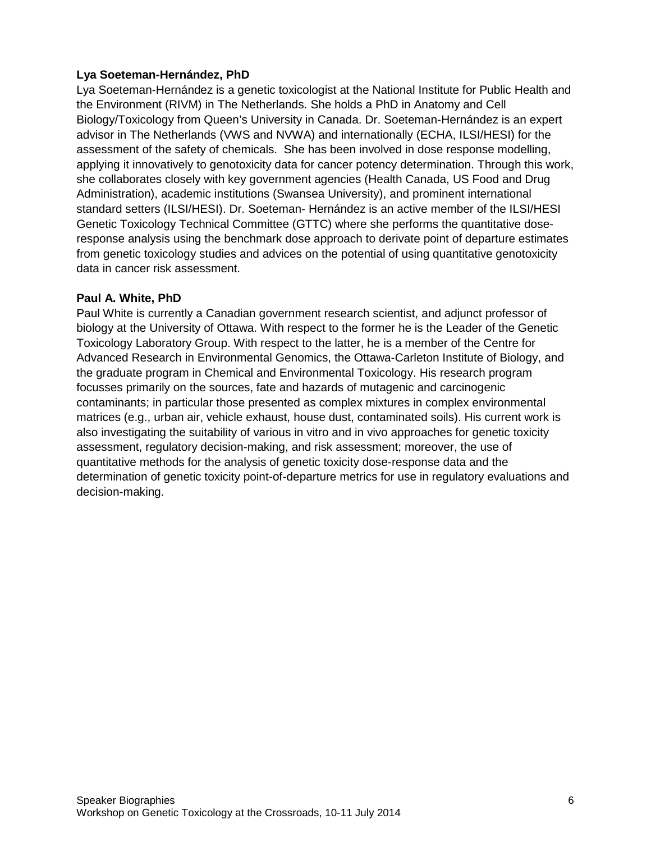#### **Lya Soeteman-Hernández, PhD**

Lya Soeteman-Hernández is a genetic toxicologist at the National Institute for Public Health and the Environment (RIVM) in The Netherlands. She holds a PhD in Anatomy and Cell Biology/Toxicology from Queen's University in Canada. Dr. Soeteman-Hernández is an expert advisor in The Netherlands (VWS and NVWA) and internationally (ECHA, ILSI/HESI) for the assessment of the safety of chemicals. She has been involved in dose response modelling, applying it innovatively to genotoxicity data for cancer potency determination. Through this work, she collaborates closely with key government agencies (Health Canada, US Food and Drug Administration), academic institutions (Swansea University), and prominent international standard setters (ILSI/HESI). Dr. Soeteman- Hernández is an active member of the ILSI/HESI Genetic Toxicology Technical Committee (GTTC) where she performs the quantitative doseresponse analysis using the benchmark dose approach to derivate point of departure estimates from genetic toxicology studies and advices on the potential of using quantitative genotoxicity data in cancer risk assessment.

#### **Paul A. White, PhD**

Paul White is currently a Canadian government research scientist, and adjunct professor of biology at the University of Ottawa. With respect to the former he is the Leader of the Genetic Toxicology Laboratory Group. With respect to the latter, he is a member of the Centre for Advanced Research in Environmental Genomics, the Ottawa-Carleton Institute of Biology, and the graduate program in Chemical and Environmental Toxicology. His research program focusses primarily on the sources, fate and hazards of mutagenic and carcinogenic contaminants; in particular those presented as complex mixtures in complex environmental matrices (e.g., urban air, vehicle exhaust, house dust, contaminated soils). His current work is also investigating the suitability of various in vitro and in vivo approaches for genetic toxicity assessment, regulatory decision-making, and risk assessment; moreover, the use of quantitative methods for the analysis of genetic toxicity dose-response data and the determination of genetic toxicity point-of-departure metrics for use in regulatory evaluations and decision-making.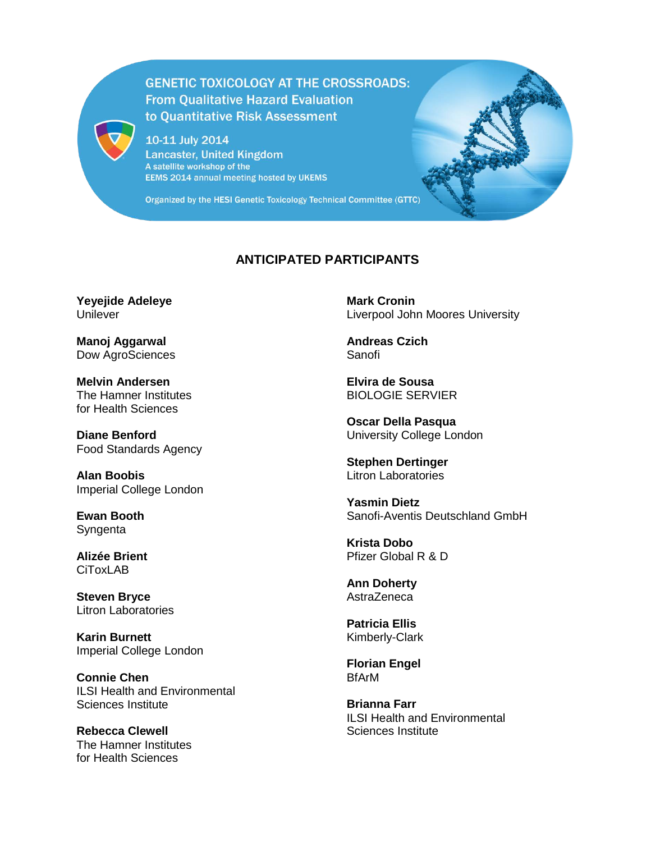**GENETIC TOXICOLOGY AT THE CROSSROADS: From Qualitative Hazard Evaluation** to Quantitative Risk Assessment

#### 10-11 July 2014

**Lancaster, United Kingdom** A satellite workshop of the **EEMS 2014 annual meeting hosted by UKEMS** 

Organized by the HESI Genetic Toxicology Technical Committee (GTTC)

# **ANTICIPATED PARTICIPANTS**

**Yeyejide Adeleye** Unilever

**Manoj Aggarwal** Dow AgroSciences

**Melvin Andersen** The Hamner Institutes for Health Sciences

**Diane Benford** Food Standards Agency

**Alan Boobis** Imperial College London

**Ewan Booth Syngenta** 

**Alizée Brient** CiToxLAB

**Steven Bryce** Litron Laboratories

**Karin Burnett** Imperial College London

**Connie Chen** ILSI Health and Environmental Sciences Institute

**Rebecca Clewell** The Hamner Institutes for Health Sciences

**Mark Cronin** Liverpool John Moores University

**Andreas Czich** Sanofi

**Elvira de Sousa** BIOLOGIE SERVIER

**Oscar Della Pasqua** University College London

**Stephen Dertinger** Litron Laboratories

**Yasmin Dietz** Sanofi-Aventis Deutschland GmbH

**Krista Dobo** Pfizer Global R & D

**Ann Doherty AstraZeneca** 

**Patricia Ellis** Kimberly-Clark

**Florian Engel** BfArM

**Brianna Farr** ILSI Health and Environmental Sciences Institute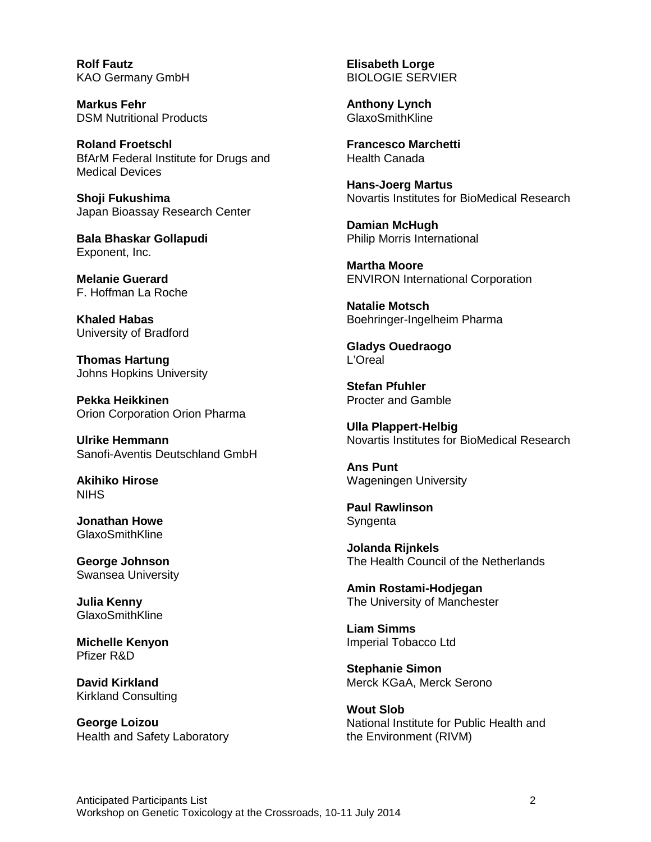**Rolf Fautz** KAO Germany GmbH

**Markus Fehr** DSM Nutritional Products

**Roland Froetschl** BfArM Federal Institute for Drugs and Medical Devices

**Shoji Fukushima** Japan Bioassay Research Center

**Bala Bhaskar Gollapudi** Exponent, Inc.

**Melanie Guerard** F. Hoffman La Roche

**Khaled Habas** University of Bradford

**Thomas Hartung** Johns Hopkins University

**Pekka Heikkinen** Orion Corporation Orion Pharma

**Ulrike Hemmann** Sanofi-Aventis Deutschland GmbH

**Akihiko Hirose NIHS** 

**Jonathan Howe** GlaxoSmithKline

**George Johnson** Swansea University

**Julia Kenny GlaxoSmithKline** 

**Michelle Kenyon** Pfizer R&D

**David Kirkland** Kirkland Consulting

**George Loizou** Health and Safety Laboratory **Elisabeth Lorge** BIOLOGIE SERVIER

**Anthony Lynch** GlaxoSmithKline

**Francesco Marchetti** Health Canada

**Hans-Joerg Martus** Novartis Institutes for BioMedical Research

**Damian McHugh** Philip Morris International

**Martha Moore** ENVIRON International Corporation

**Natalie Motsch** Boehringer-Ingelheim Pharma

**Gladys Ouedraogo** L'Oreal

**Stefan Pfuhler** Procter and Gamble

**Ulla Plappert-Helbig** Novartis Institutes for BioMedical Research

**Ans Punt** Wageningen University

**Paul Rawlinson** Syngenta

**Jolanda Rijnkels** The Health Council of the Netherlands

**Amin Rostami-Hodjegan** The University of Manchester

**Liam Simms** Imperial Tobacco Ltd

**Stephanie Simon** Merck KGaA, Merck Serono

**Wout Slob** National Institute for Public Health and the Environment (RIVM)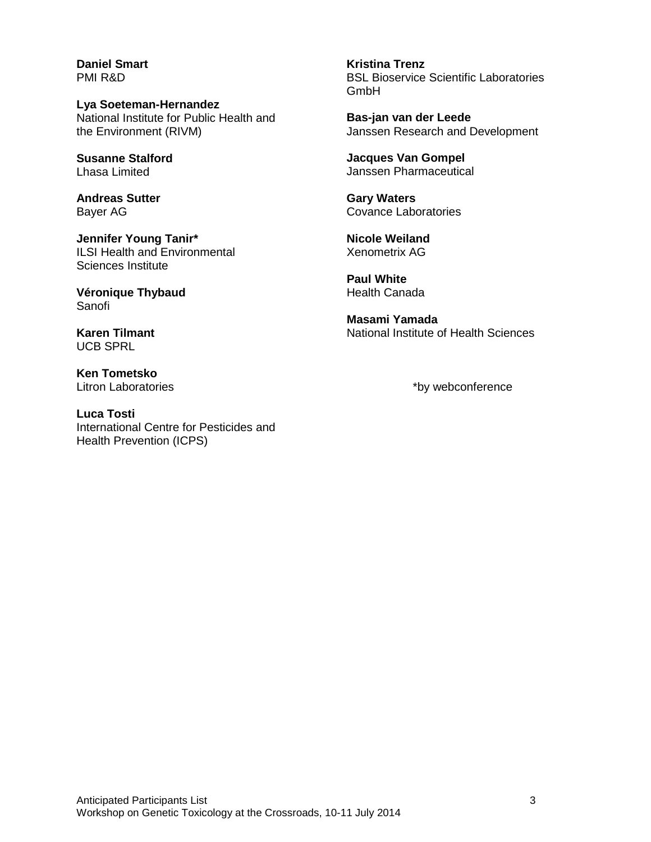**Daniel Smart** PMI R&D

**Lya Soeteman-Hernandez** National Institute for Public Health and the Environment (RIVM)

**Susanne Stalford** Lhasa Limited

**Andreas Sutter** Bayer AG

**Jennifer Young Tanir\*** ILSI Health and Environmental Sciences Institute

**Véronique Thybaud** Sanofi

**Karen Tilmant** UCB SPRL

**Ken Tometsko** Litron Laboratories

**Luca Tosti** International Centre for Pesticides and Health Prevention (ICPS)

**Kristina Trenz** BSL Bioservice Scientific Laboratories GmbH

**Bas-jan van der Leede**  Janssen Research and Development

**Jacques Van Gompel** Janssen Pharmaceutical

**Gary Waters** Covance Laboratories

**Nicole Weiland** Xenometrix AG

**Paul White** Health Canada

**Masami Yamada** National Institute of Health Sciences

\*by webconference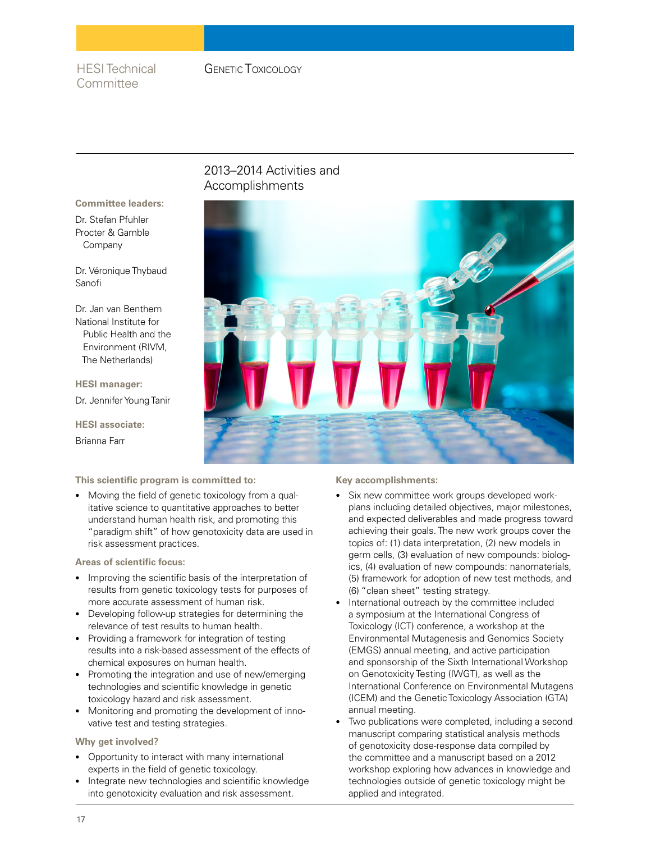#### HESI Technical **Committee**

#### **GENETIC TOXICOLOGY**

#### **Committee leaders:**

Dr. Stefan Pfuhler Procter & Gamble Company

Dr. Véronique Thybaud Sanofi

Dr. Jan van Benthem National Institute for Public Health and the Environment (RIVM, The Netherlands)

**HESI manager:**  Dr. Jennifer Young Tanir

**HESI associate:**  Brianna Farr

# 2013–2014 Activities and Accomplishments



**This scientific program is committed to:**

• Moving the field of genetic toxicology from a qualitative science to quantitative approaches to better understand human health risk, and promoting this "paradigm shift" of how genotoxicity data are used in risk assessment practices.

**Areas of scientific focus:**

- Improving the scientific basis of the interpretation of results from genetic toxicology tests for purposes of more accurate assessment of human risk.
- Developing follow-up strategies for determining the relevance of test results to human health.
- Providing a framework for integration of testing results into a risk-based assessment of the effects of chemical exposures on human health.
- Promoting the integration and use of new/emerging technologies and scientific knowledge in genetic toxicology hazard and risk assessment.
- Monitoring and promoting the development of innovative test and testing strategies.

#### **Why get involved?**

- Opportunity to interact with many international experts in the field of genetic toxicology.
- Integrate new technologies and scientific knowledge into genotoxicity evaluation and risk assessment.

**Key accomplishments:**

- Six new committee work groups developed workplans including detailed objectives, major milestones, and expected deliverables and made progress toward achieving their goals. The new work groups cover the topics of: (1) data interpretation, (2) new models in germ cells, (3) evaluation of new compounds: biologics, (4) evaluation of new compounds: nanomaterials, (5) framework for adoption of new test methods, and (6) "clean sheet" testing strategy.
- International outreach by the committee included a symposium at the International Congress of Toxicology (ICT) conference, a workshop at the Environmental Mutagenesis and Genomics Society (EMGS) annual meeting, and active participation and sponsorship of the Sixth International Workshop on Genotoxicity Testing (IWGT), as well as the International Conference on Environmental Mutagens (ICEM) and the Genetic Toxicology Association (GTA) annual meeting.
- Two publications were completed, including a second manuscript comparing statistical analysis methods of genotoxicity dose-response data compiled by the committee and a manuscript based on a 2012 workshop exploring how advances in knowledge and technologies outside of genetic toxicology might be applied and integrated.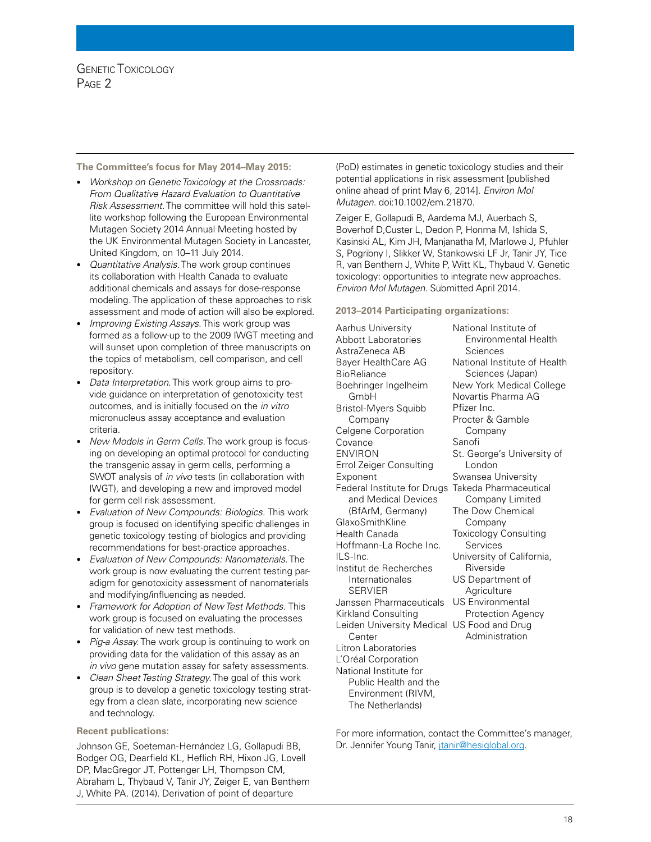**The Committee's focus for May 2014–May 2015:**

- *Workshop on Genetic Toxicology at the Crossroads: From Qualitative Hazard Evaluation to Quantitative Risk Assessment*. The committee will hold this satellite workshop following the European Environmental Mutagen Society 2014 Annual Meeting hosted by the UK Environmental Mutagen Society in Lancaster, United Kingdom, on 10–11 July 2014.
- *Quantitative Analysis*. The work group continues its collaboration with Health Canada to evaluate additional chemicals and assays for dose-response modeling. The application of these approaches to risk assessment and mode of action will also be explored.
- *Improving Existing Assays*. This work group was formed as a follow-up to the 2009 IWGT meeting and will sunset upon completion of three manuscripts on the topics of metabolism, cell comparison, and cell repository.
- *Data Interpretation*. This work group aims to provide guidance on interpretation of genotoxicity test outcomes, and is initially focused on the *in vitro* micronucleus assay acceptance and evaluation criteria.
- *New Models in Germ Cells.* The work group is focusing on developing an optimal protocol for conducting the transgenic assay in germ cells, performing a SWOT analysis of *in vivo* tests (in collaboration with IWGT), and developing a new and improved model for germ cell risk assessment.
- *Evaluation of New Compounds: Biologics.* This work group is focused on identifying specific challenges in genetic toxicology testing of biologics and providing recommendations for best-practice approaches.
- *Evaluation of New Compounds: Nanomaterials.* The work group is now evaluating the current testing paradigm for genotoxicity assessment of nanomaterials and modifying/influencing as needed.
- *Framework for Adoption of New Test Methods.* This work group is focused on evaluating the processes for validation of new test methods.
- *Pig-a Assay.* The work group is continuing to work on providing data for the validation of this assay as an *in vivo* gene mutation assay for safety assessments.
- *Clean Sheet Testing Strategy.* The goal of this work group is to develop a genetic toxicology testing strategy from a clean slate, incorporating new science and technology.

#### **Recent publications:**

Johnson GE, Soeteman-Hernández LG, Gollapudi BB, Bodger OG, Dearfield KL, Heflich RH, Hixon JG, Lovell DP, MacGregor JT, Pottenger LH, Thompson CM, Abraham L, Thybaud V, Tanir JY, Zeiger E, van Benthem J, White PA. (2014). Derivation of point of departure

(PoD) estimates in genetic toxicology studies and their potential applications in risk assessment [published online ahead of print May 6, 2014]. *Environ Mol Mutagen*. doi:10.1002/em.21870.

Zeiger E, Gollapudi B, Aardema MJ, Auerbach S, Boverhof D,Custer L, Dedon P, Honma M, Ishida S, Kasinski AL, Kim JH, Manjanatha M, Marlowe J, Pfuhler S, Pogribny I, Slikker W, Stankowski LF Jr, Tanir JY, Tice R, van Benthem J, White P, Witt KL, Thybaud V. Genetic toxicology: opportunities to integrate new approaches. *Environ Mol Mutagen*. Submitted April 2014.

#### **2013–2014 Participating organizations:**

Aarhus University Abbott Laboratories AstraZeneca AB Bayer HealthCare AG **BioReliance** Boehringer Ingelheim GmbH Bristol-Myers Squibb Company Celgene Corporation Covance ENVIRON Errol Zeiger Consulting Exponent Federal Institute for Drugs Takeda Pharmaceutical and Medical Devices (BfArM, Germany) GlaxoSmithKline Health Canada Hoffmann-La Roche Inc. ILS-Inc. Institut de Recherches Internationales SERVIER Janssen Pharmaceuticals Kirkland Consulting Leiden University Medical US Food and Drug **Center** Litron Laboratories L'Oréal Corporation National Institute for Public Health and the Environment (RIVM, The Netherlands)

National Institute of Environmental Health Sciences National Institute of Health Sciences (Japan) New York Medical College Novartis Pharma AG Pfizer Inc. Procter & Gamble Company Sanofi St. George's University of London Swansea University Company Limited The Dow Chemical Company Toxicology Consulting Services University of California, Riverside US Department of **Agriculture** US Environmental Protection Agency Administration

For more information, contact the Committee's manager, Dr. Jennifer Young Tanir, *jtanir@hesiglobal.org.*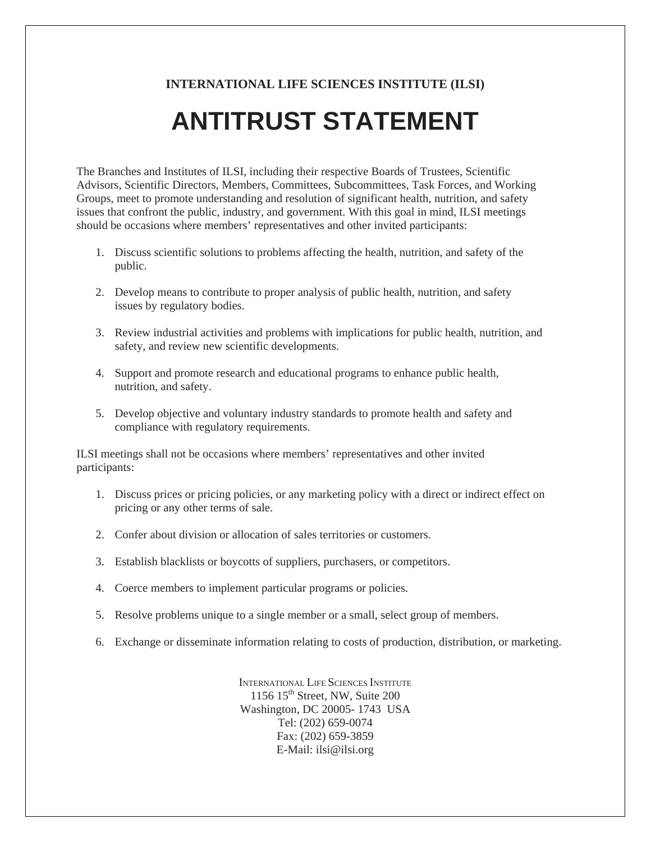### **INTERNATIONAL LIFE SCIENCES INSTITUTE (ILSI)**

# **ANTITRUST STATEMENT**

The Branches and Institutes of ILSI, including their respective Boards of Trustees, Scientific Advisors, Scientific Directors, Members, Committees, Subcommittees, Task Forces, and Working Groups, meet to promote understanding and resolution of significant health, nutrition, and safety issues that confront the public, industry, and government. With this goal in mind, ILSI meetings should be occasions where members' representatives and other invited participants:

- 1. Discuss scientific solutions to problems affecting the health, nutrition, and safety of the public.
- 2. Develop means to contribute to proper analysis of public health, nutrition, and safety issues by regulatory bodies.
- 3. Review industrial activities and problems with implications for public health, nutrition, and safety, and review new scientific developments.
- 4. Support and promote research and educational programs to enhance public health, nutrition, and safety.
- 5. Develop objective and voluntary industry standards to promote health and safety and compliance with regulatory requirements.

ILSI meetings shall not be occasions where members' representatives and other invited participants:

- 1. Discuss prices or pricing policies, or any marketing policy with a direct or indirect effect on pricing or any other terms of sale.
- 2. Confer about division or allocation of sales territories or customers.
- 3. Establish blacklists or boycotts of suppliers, purchasers, or competitors.
- 4. Coerce members to implement particular programs or policies.
- 5. Resolve problems unique to a single member or a small, select group of members.
- 6. Exchange or disseminate information relating to costs of production, distribution, or marketing.

INTERNATIONAL LIFE SCIENCES INSTITUTE 1156  $15<sup>th</sup>$  Street, NW, Suite 200 Washington, DC 20005- 1743 USA Tel: (202) 659-0074 Fax: (202) 659-3859 E-Mail: ilsi@ilsi.org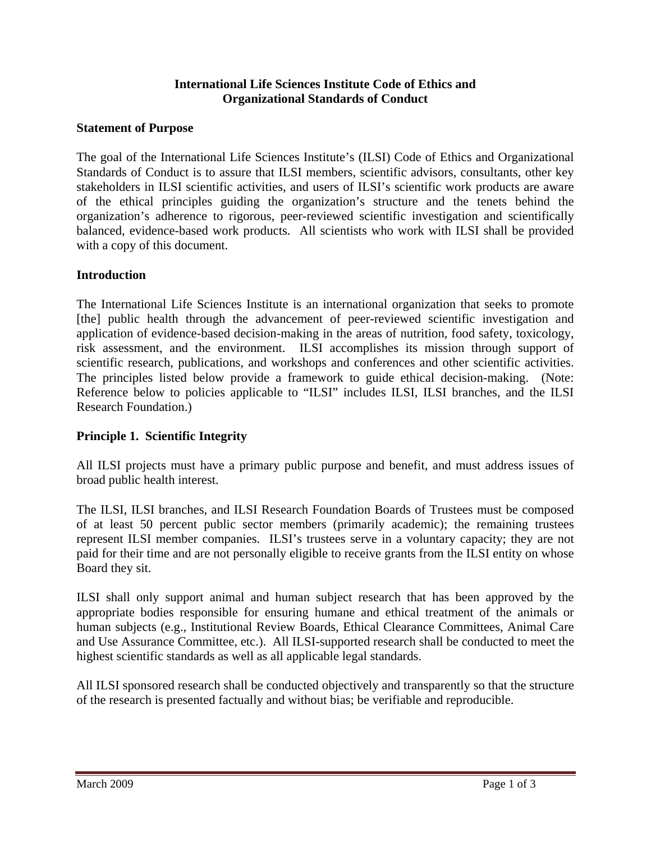#### **International Life Sciences Institute Code of Ethics and Organizational Standards of Conduct**

# **Statement of Purpose**

The goal of the International Life Sciences Institute's (ILSI) Code of Ethics and Organizational Standards of Conduct is to assure that ILSI members, scientific advisors, consultants, other key stakeholders in ILSI scientific activities, and users of ILSI's scientific work products are aware of the ethical principles guiding the organization's structure and the tenets behind the organization's adherence to rigorous, peer-reviewed scientific investigation and scientifically balanced, evidence-based work products. All scientists who work with ILSI shall be provided with a copy of this document.

# **Introduction**

The International Life Sciences Institute is an international organization that seeks to promote [the] public health through the advancement of peer-reviewed scientific investigation and application of evidence-based decision-making in the areas of nutrition, food safety, toxicology, risk assessment, and the environment. ILSI accomplishes its mission through support of scientific research, publications, and workshops and conferences and other scientific activities. The principles listed below provide a framework to guide ethical decision-making. (Note: Reference below to policies applicable to "ILSI" includes ILSI, ILSI branches, and the ILSI Research Foundation.)

# **Principle 1. Scientific Integrity**

All ILSI projects must have a primary public purpose and benefit, and must address issues of broad public health interest.

The ILSI, ILSI branches, and ILSI Research Foundation Boards of Trustees must be composed of at least 50 percent public sector members (primarily academic); the remaining trustees represent ILSI member companies. ILSI's trustees serve in a voluntary capacity; they are not paid for their time and are not personally eligible to receive grants from the ILSI entity on whose Board they sit.

ILSI shall only support animal and human subject research that has been approved by the appropriate bodies responsible for ensuring humane and ethical treatment of the animals or human subjects (e.g., Institutional Review Boards, Ethical Clearance Committees, Animal Care and Use Assurance Committee, etc.). All ILSI-supported research shall be conducted to meet the highest scientific standards as well as all applicable legal standards.

All ILSI sponsored research shall be conducted objectively and transparently so that the structure of the research is presented factually and without bias; be verifiable and reproducible.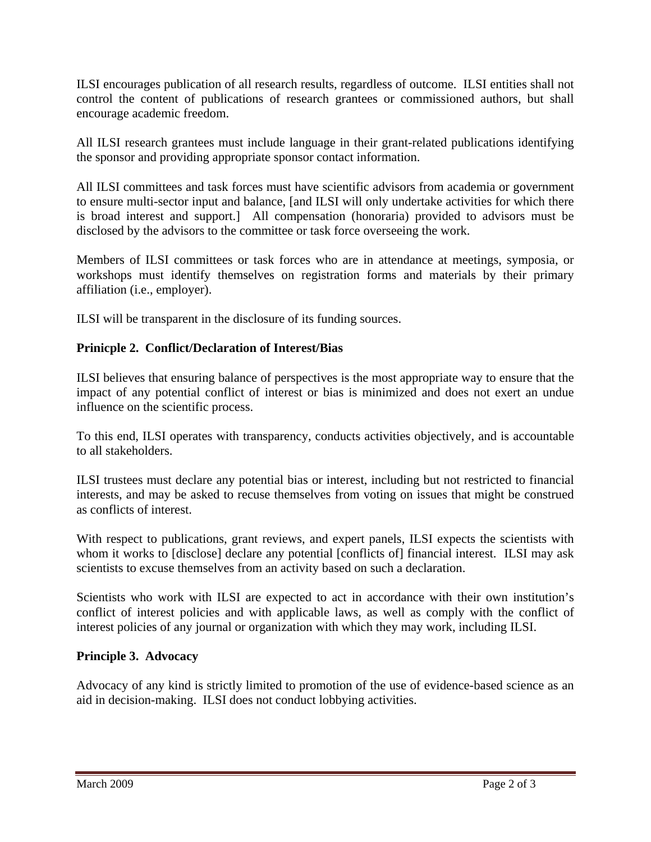ILSI encourages publication of all research results, regardless of outcome. ILSI entities shall not control the content of publications of research grantees or commissioned authors, but shall encourage academic freedom.

All ILSI research grantees must include language in their grant-related publications identifying the sponsor and providing appropriate sponsor contact information.

All ILSI committees and task forces must have scientific advisors from academia or government to ensure multi-sector input and balance, [and ILSI will only undertake activities for which there is broad interest and support.] All compensation (honoraria) provided to advisors must be disclosed by the advisors to the committee or task force overseeing the work.

Members of ILSI committees or task forces who are in attendance at meetings, symposia, or workshops must identify themselves on registration forms and materials by their primary affiliation (i.e., employer).

ILSI will be transparent in the disclosure of its funding sources.

# **Prinicple 2. Conflict/Declaration of Interest/Bias**

ILSI believes that ensuring balance of perspectives is the most appropriate way to ensure that the impact of any potential conflict of interest or bias is minimized and does not exert an undue influence on the scientific process.

To this end, ILSI operates with transparency, conducts activities objectively, and is accountable to all stakeholders.

ILSI trustees must declare any potential bias or interest, including but not restricted to financial interests, and may be asked to recuse themselves from voting on issues that might be construed as conflicts of interest.

With respect to publications, grant reviews, and expert panels, ILSI expects the scientists with whom it works to [disclose] declare any potential [conflicts of] financial interest. ILSI may ask scientists to excuse themselves from an activity based on such a declaration.

Scientists who work with ILSI are expected to act in accordance with their own institution's conflict of interest policies and with applicable laws, as well as comply with the conflict of interest policies of any journal or organization with which they may work, including ILSI.

### **Principle 3. Advocacy**

Advocacy of any kind is strictly limited to promotion of the use of evidence-based science as an aid in decision-making. ILSI does not conduct lobbying activities.